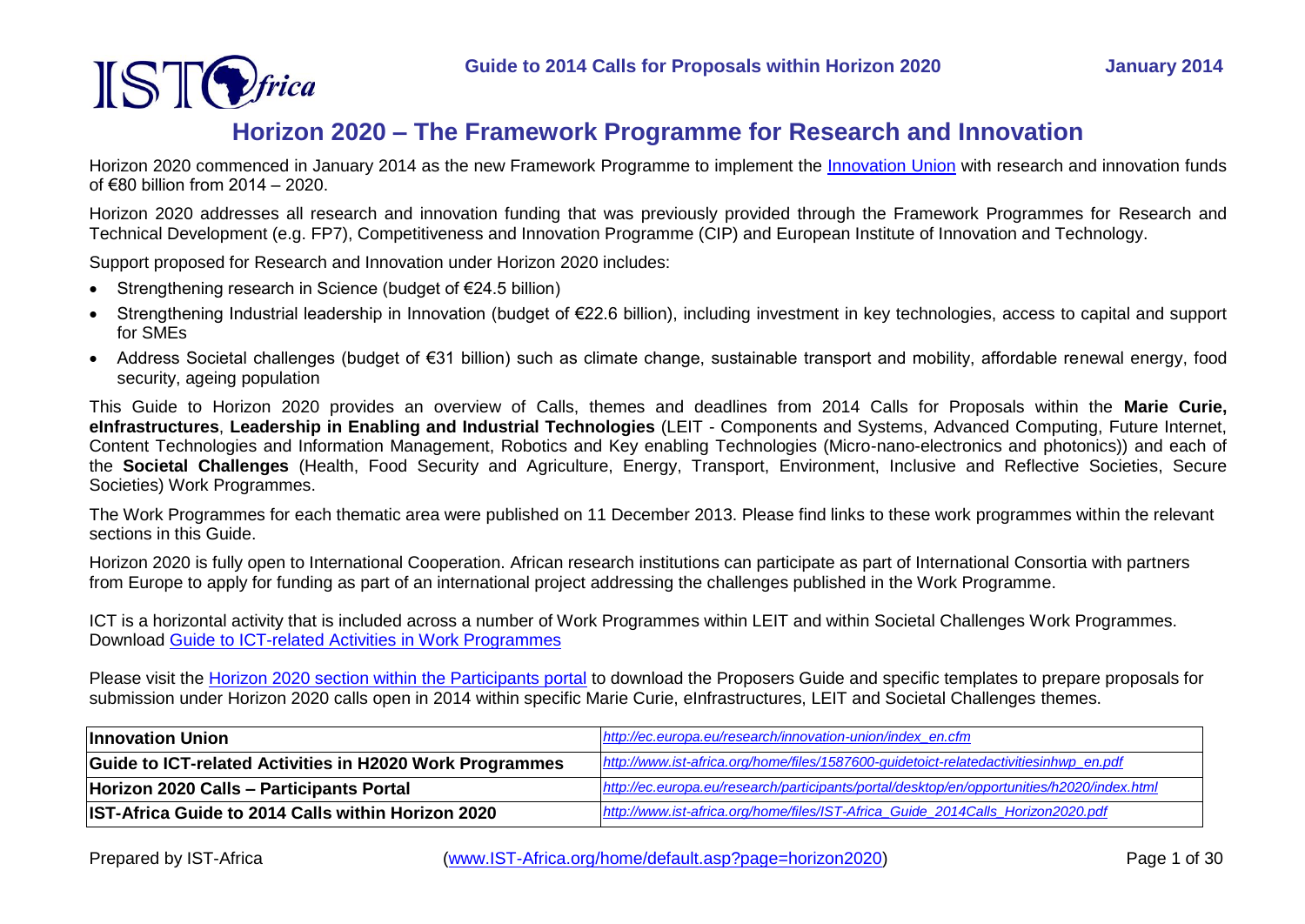

# **Horizon 2020 – The Framework Programme for Research and Innovation**

Horizon 2020 commenced in January 2014 as the new Framework Programme to implement the [Innovation Union](http://ec.europa.eu/research/innovation-union/index_en.cfm) with research and innovation funds of €80 billion from 2014 – 2020.

Horizon 2020 addresses all research and innovation funding that was previously provided through the Framework Programmes for Research and Technical Development (e.g. FP7), Competitiveness and Innovation Programme (CIP) and European Institute of Innovation and Technology.

Support proposed for Research and Innovation under Horizon 2020 includes:

- Strengthening research in Science (budget of  $E$ 24.5 billion)
- Strengthening Industrial leadership in Innovation (budget of €22.6 billion), including investment in key technologies, access to capital and support for SMEs
- Address Societal challenges (budget of €31 billion) such as climate change, sustainable transport and mobility, affordable renewal energy, food security, ageing population

This Guide to Horizon 2020 provides an overview of Calls, themes and deadlines from 2014 Calls for Proposals within the **Marie Curie, eInfrastructures**, **Leadership in Enabling and Industrial Technologies** (LEIT - Components and Systems, Advanced Computing, Future Internet, Content Technologies and Information Management, Robotics and Key enabling Technologies (Micro-nano-electronics and photonics)) and each of the **Societal Challenges** (Health, Food Security and Agriculture, Energy, Transport, Environment, Inclusive and Reflective Societies, Secure Societies) Work Programmes.

The Work Programmes for each thematic area were published on 11 December 2013. Please find links to these work programmes within the relevant sections in this Guide.

Horizon 2020 is fully open to International Cooperation. African research institutions can participate as part of International Consortia with partners from Europe to apply for funding as part of an international project addressing the challenges published in the Work Programme.

ICT is a horizontal activity that is included across a number of Work Programmes within LEIT and within Societal Challenges Work Programmes. Download [Guide to ICT-related Activities in Work Programmes](http://www.ist-africa.org/home/files/1587600-guidetoict-relatedactivitiesinhwp_en.pdf)

Please visit the [Horizon 2020 section within the Participants portal](http://ec.europa.eu/research/participants/portal/desktop/en/opportunities/h2020/index.html) to download the Proposers Guide and specific templates to prepare proposals for submission under Horizon 2020 calls open in 2014 within specific Marie Curie, eInfrastructures, LEIT and Societal Challenges themes.

| <b>Innovation Union</b>                                   | http://ec.europa.eu/research/innovation-union/index en.cfm                                 |
|-----------------------------------------------------------|--------------------------------------------------------------------------------------------|
| Guide to ICT-related Activities in H2020 Work Programmes  | http://www.ist-africa.org/home/files/1587600-guidetoict-relatedactivitiesinhwp_en.pdf      |
| Horizon 2020 Calls - Participants Portal                  | http://ec.europa.eu/research/participants/portal/desktop/en/opportunities/h2020/index.html |
| <b>IST-Africa Guide to 2014 Calls within Horizon 2020</b> | http://www.ist-africa.org/home/files/IST-Africa Guide 2014Calls Horizon2020.pdf            |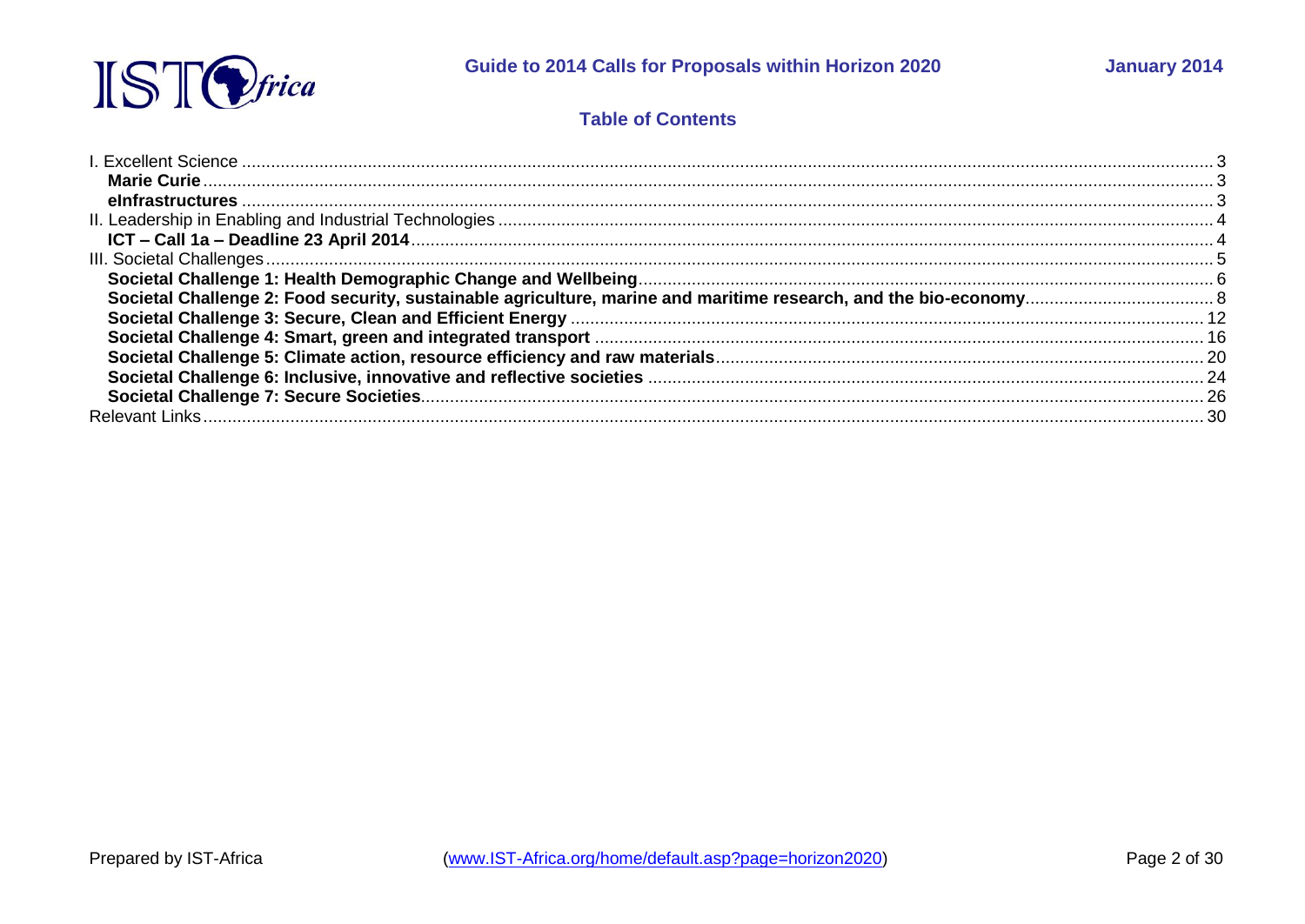

### **Table of Contents**

| -26 |
|-----|
|     |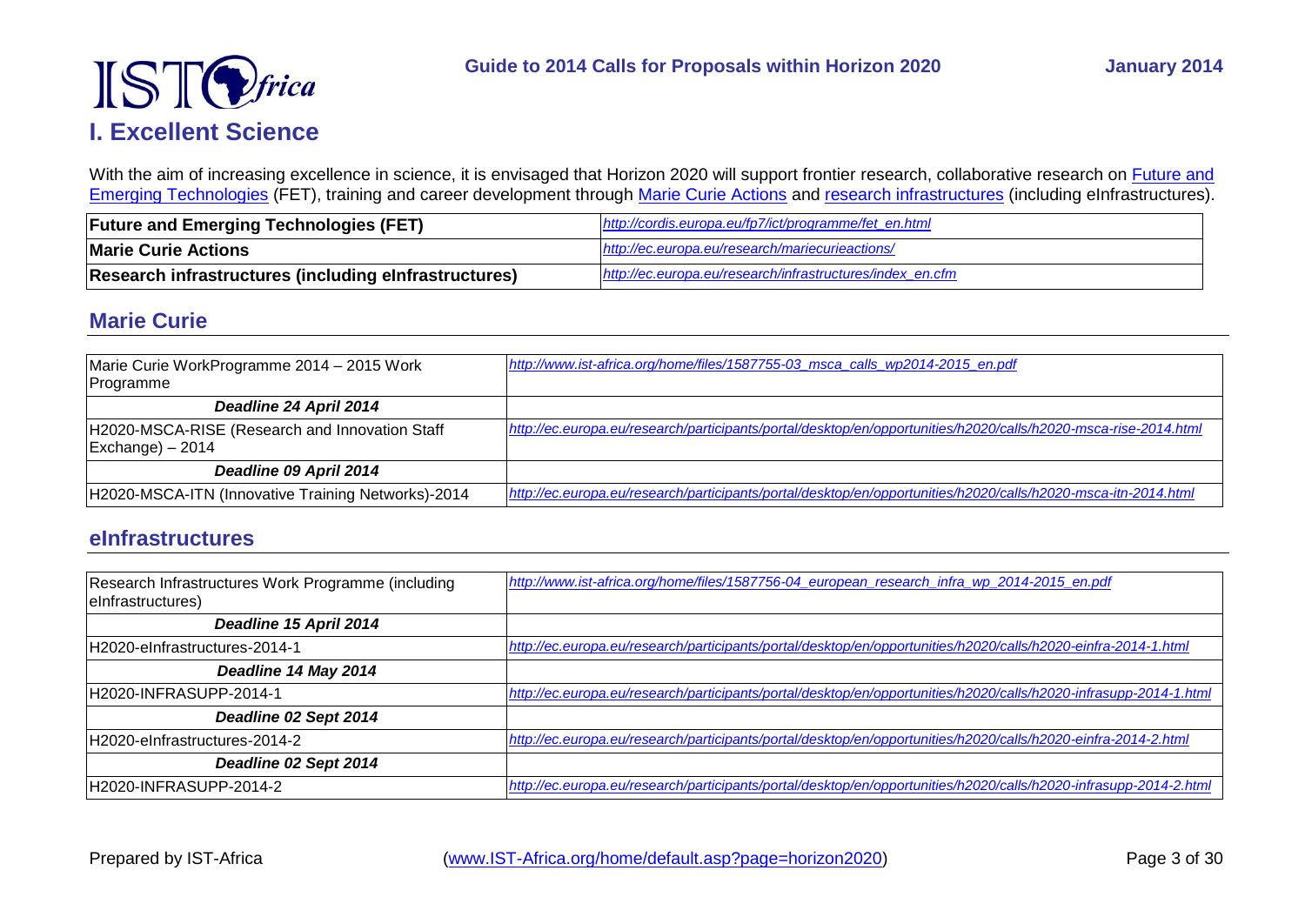

<span id="page-2-0"></span>With the aim of increasing excellence in science, it is envisaged that Horizon 2020 will support frontier research, collaborative research on Future and [Emerging Technologies](http://cordis.europa.eu/fp7/ict/programme/fet_en.html) (FET), training and career development through [Marie Curie Actions](http://ec.europa.eu/research/mariecurieactions/) and [research infrastructures](http://ec.europa.eu/research/infrastructures/index_en.cfm) (including eInfrastructures).

| <b>Future and Emerging Technologies (FET)</b>         | http://cordis.europa.eu/fp7/ict/programme/fet en.html     |
|-------------------------------------------------------|-----------------------------------------------------------|
| <b>Marie Curie Actions</b>                            | http://ec.europa.eu/research/mariecurieactions/           |
| Research infrastructures (including elnfrastructures) | http://ec.europa.eu/research/infrastructures/index en.cfm |

### <span id="page-2-1"></span>**Marie Curie**

| Marie Curie WorkProgramme 2014 - 2015 Work<br>Programme                                         | http://www.ist-africa.org/home/files/1587755-03 msca calls wp2014-2015 en.pdf                                   |
|-------------------------------------------------------------------------------------------------|-----------------------------------------------------------------------------------------------------------------|
| Deadline 24 April 2014                                                                          |                                                                                                                 |
| H2020-MSCA-RISE (Research and Innovation Staff<br>$\left {\text{Exchange}}\right\rangle - 2014$ | http://ec.europa.eu/research/participants/portal/desktop/en/opportunities/h2020/calls/h2020-msca-rise-2014.html |
| Deadline 09 April 2014                                                                          |                                                                                                                 |
| H2020-MSCA-ITN (Innovative Training Networks)-2014                                              | http://ec.europa.eu/research/participants/portal/desktop/en/opportunities/h2020/calls/h2020-msca-itn-2014.html  |

### <span id="page-2-2"></span>**eInfrastructures**

| Research Infrastructures Work Programme (including<br>elnfrastructures) | http://www.ist-africa.org/home/files/1587756-04 european research infra wp 2014-2015 en.pdf                       |
|-------------------------------------------------------------------------|-------------------------------------------------------------------------------------------------------------------|
| Deadline 15 April 2014                                                  |                                                                                                                   |
| H2020-eInfrastructures-2014-1                                           | http://ec.europa.eu/research/participants/portal/desktop/en/opportunities/h2020/calls/h2020-einfra-2014-1.html    |
| Deadline 14 May 2014                                                    |                                                                                                                   |
| H2020-INFRASUPP-2014-1                                                  | http://ec.europa.eu/research/participants/portal/desktop/en/opportunities/h2020/calls/h2020-infrasupp-2014-1.html |
| Deadline 02 Sept 2014                                                   |                                                                                                                   |
| H2020-eInfrastructures-2014-2                                           | http://ec.europa.eu/research/participants/portal/desktop/en/opportunities/h2020/calls/h2020-einfra-2014-2.html    |
| Deadline 02 Sept 2014                                                   |                                                                                                                   |
| H2020-INFRASUPP-2014-2                                                  | http://ec.europa.eu/research/participants/portal/desktop/en/opportunities/h2020/calls/h2020-infrasupp-2014-2.html |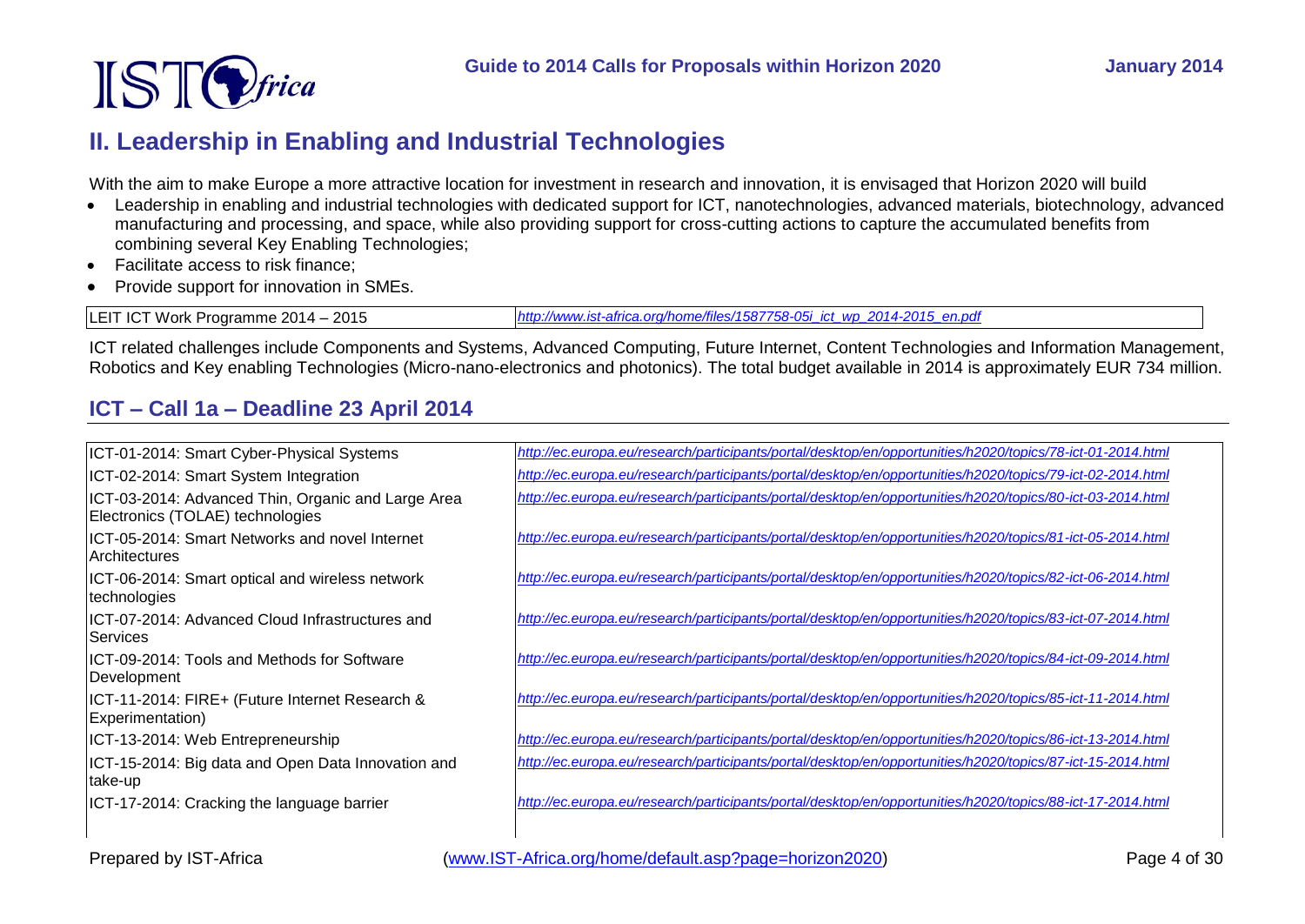

# <span id="page-3-0"></span>**II. Leadership in Enabling and Industrial Technologies**

With the aim to make Europe a more attractive location for investment in research and innovation, it is envisaged that Horizon 2020 will build

- Leadership in enabling and industrial technologies with dedicated support for ICT, nanotechnologies, advanced materials, biotechnology, advanced manufacturing and processing, and space, while also providing support for cross-cutting actions to capture the accumulated benefits from combining several Key Enabling Technologies;
- Facilitate access to risk finance:
- Provide support for innovation in SMEs.

LEIT ICT Work Programme 2014 – 2015 *[http://www.ist-africa.org/home/files/1587758-05i\\_ict\\_wp\\_2014-2015\\_en.pdf](http://www.ist-africa.org/home/files/1587758-05i_ict_wp_2014-2015_en.pdf)*

ICT related challenges include Components and Systems, Advanced Computing, Future Internet, Content Technologies and Information Management, Robotics and Key enabling Technologies (Micro-nano-electronics and photonics). The total budget available in 2014 is approximately EUR 734 million.

# <span id="page-3-1"></span>**ICT – Call 1a – Deadline 23 April 2014**

| ICT-01-2014: Smart Cyber-Physical Systems                                              | http://ec.europa.eu/research/participants/portal/desktop/en/opportunities/h2020/topics/78-ict-01-2014.html |
|----------------------------------------------------------------------------------------|------------------------------------------------------------------------------------------------------------|
| ICT-02-2014: Smart System Integration                                                  | http://ec.europa.eu/research/participants/portal/desktop/en/opportunities/h2020/topics/79-ict-02-2014.html |
| ICT-03-2014: Advanced Thin, Organic and Large Area<br>Electronics (TOLAE) technologies | http://ec.europa.eu/research/participants/portal/desktop/en/opportunities/h2020/topics/80-ict-03-2014.html |
| ICT-05-2014: Smart Networks and novel Internet<br><b>Architectures</b>                 | http://ec.europa.eu/research/participants/portal/desktop/en/opportunities/h2020/topics/81-ict-05-2014.html |
| ICT-06-2014: Smart optical and wireless network<br>technologies                        | http://ec.europa.eu/research/participants/portal/desktop/en/opportunities/h2020/topics/82-ict-06-2014.html |
| ICT-07-2014: Advanced Cloud Infrastructures and<br><b>Services</b>                     | http://ec.europa.eu/research/participants/portal/desktop/en/opportunities/h2020/topics/83-ict-07-2014.html |
| IICT-09-2014: Tools and Methods for Software<br>Development                            | http://ec.europa.eu/research/participants/portal/desktop/en/opportunities/h2020/topics/84-ict-09-2014.html |
| ICT-11-2014: FIRE+ (Future Internet Research &<br>Experimentation)                     | http://ec.europa.eu/research/participants/portal/desktop/en/opportunities/h2020/topics/85-ict-11-2014.html |
| ICT-13-2014: Web Entrepreneurship                                                      | http://ec.europa.eu/research/participants/portal/desktop/en/opportunities/h2020/topics/86-ict-13-2014.html |
| ICT-15-2014: Big data and Open Data Innovation and<br>take-up                          | http://ec.europa.eu/research/participants/portal/desktop/en/opportunities/h2020/topics/87-ict-15-2014.html |
| ICT-17-2014: Cracking the language barrier                                             | http://ec.europa.eu/research/participants/portal/desktop/en/opportunities/h2020/topics/88-ict-17-2014.html |

Prepared by IST-Africa (www.IST-Africa.org/home/default.asp?page=horizon2020) Page 4 of 30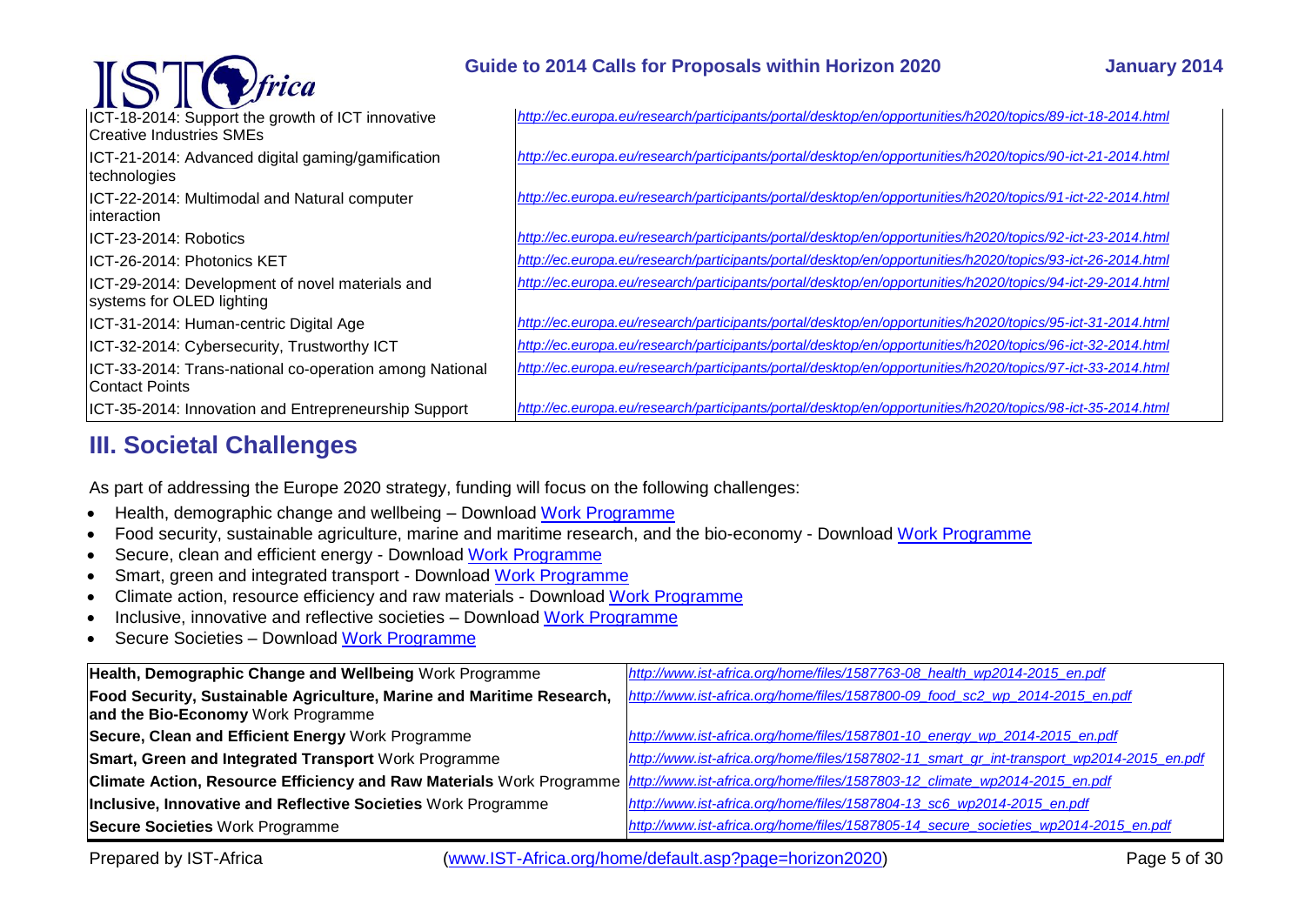| $\text{STC}$ frica                                                               | Guide to 2014 Calls for Proposals within Horizon 2020                                                      | <b>January 2014</b> |
|----------------------------------------------------------------------------------|------------------------------------------------------------------------------------------------------------|---------------------|
| ICT-18-2014: Support the growth of ICT innovative<br>Creative Industries SMEs    | http://ec.europa.eu/research/participants/portal/desktop/en/opportunities/h2020/topics/89-ict-18-2014.html |                     |
| ICT-21-2014: Advanced digital gaming/gamification<br>technologies                | http://ec.europa.eu/research/participants/portal/desktop/en/opportunities/h2020/topics/90-ict-21-2014.html |                     |
| ICT-22-2014: Multimodal and Natural computer<br>linteraction                     | http://ec.europa.eu/research/participants/portal/desktop/en/opportunities/h2020/topics/91-ict-22-2014.html |                     |
| ICT-23-2014: Robotics                                                            | http://ec.europa.eu/research/participants/portal/desktop/en/opportunities/h2020/topics/92-ict-23-2014.html |                     |
| IICT-26-2014: Photonics KET                                                      | http://ec.europa.eu/research/participants/portal/desktop/en/opportunities/h2020/topics/93-ict-26-2014.html |                     |
| ICT-29-2014: Development of novel materials and<br>systems for OLED lighting     | http://ec.europa.eu/research/participants/portal/desktop/en/opportunities/h2020/topics/94-ict-29-2014.html |                     |
| ICT-31-2014: Human-centric Digital Age                                           | http://ec.europa.eu/research/participants/portal/desktop/en/opportunities/h2020/topics/95-ict-31-2014.html |                     |
| ICT-32-2014: Cybersecurity, Trustworthy ICT                                      | http://ec.europa.eu/research/participants/portal/desktop/en/opportunities/h2020/topics/96-ict-32-2014.html |                     |
| ICT-33-2014: Trans-national co-operation among National<br><b>Contact Points</b> | http://ec.europa.eu/research/participants/portal/desktop/en/opportunities/h2020/topics/97-ict-33-2014.html |                     |
| ICT-35-2014: Innovation and Entrepreneurship Support                             | http://ec.europa.eu/research/participants/portal/desktop/en/opportunities/h2020/topics/98-ict-35-2014.html |                     |

# <span id="page-4-0"></span>**III. Societal Challenges**

As part of addressing the Europe 2020 strategy, funding will focus on the following challenges:

- Health, demographic change and wellbeing Download [Work Programme](http://www.ist-africa.org/home/files/1587763-08_health_wp2014-2015_en.pdf)
- Food security, sustainable agriculture, marine and maritime research, and the bio-economy Download [Work Programme](http://www.ist-africa.org/home/files/1587800-09_food_sc2_wp_2014-2015_en.pdf)
- Secure, clean and efficient energy Download [Work Programme](http://www.ist-africa.org/home/files/1587801-10_energy_wp_2014-2015_en.pdf)
- Smart, green and integrated transport Download [Work Programme](http://www.ist-africa.org/home/files/1587802-11_smart_gr_int-transport_wp2014-2015_en.pdf)
- Climate action, resource efficiency and raw materials Download [Work Programme](http://www.ist-africa.org/home/files/1587803-12_climate_wp2014-2015_en.pdf)
- Inclusive, innovative and reflective societies Download [Work Programme](http://www.ist-africa.org/home/files/1587804-13_sc6_wp2014-2015_en.pdf)
- Secure Societies Download [Work Programme](http://www.ist-africa.org/home/files/1587805-14_secure_societies_wp2014-2015_en.pdf)

| Health, Demographic Change and Wellbeing Work Programme                                                                                         | http://www.ist-africa.org/home/files/1587763-08 health wp2014-2015 en.pdf                 |
|-------------------------------------------------------------------------------------------------------------------------------------------------|-------------------------------------------------------------------------------------------|
| Food Security, Sustainable Agriculture, Marine and Maritime Research,                                                                           | http://www.ist-africa.org/home/files/1587800-09_food_sc2_wp_2014-2015_en.pdf              |
| and the Bio-Economy Work Programme                                                                                                              |                                                                                           |
| Secure, Clean and Efficient Energy Work Programme                                                                                               | http://www.ist-africa.org/home/files/1587801-10_energy_wp_2014-2015_en.pdf                |
| Smart, Green and Integrated Transport Work Programme                                                                                            | http://www.ist-africa.org/home/files/1587802-11_smart_gr_int-transport_wp2014-2015_en.pdf |
| Climate Action, Resource Efficiency and Raw Materials Work Programme http://www.ist-africa.org/home/files/1587803-12_climate_wp2014-2015_en.pdf |                                                                                           |
| Inclusive, Innovative and Reflective Societies Work Programme                                                                                   | http://www.ist-africa.org/home/files/1587804-13_sc6_wp2014-2015_en.pdf                    |
| Secure Societies Work Programme                                                                                                                 | http://www.ist-africa.org/home/files/1587805-14 secure societies wp2014-2015 en.pdf       |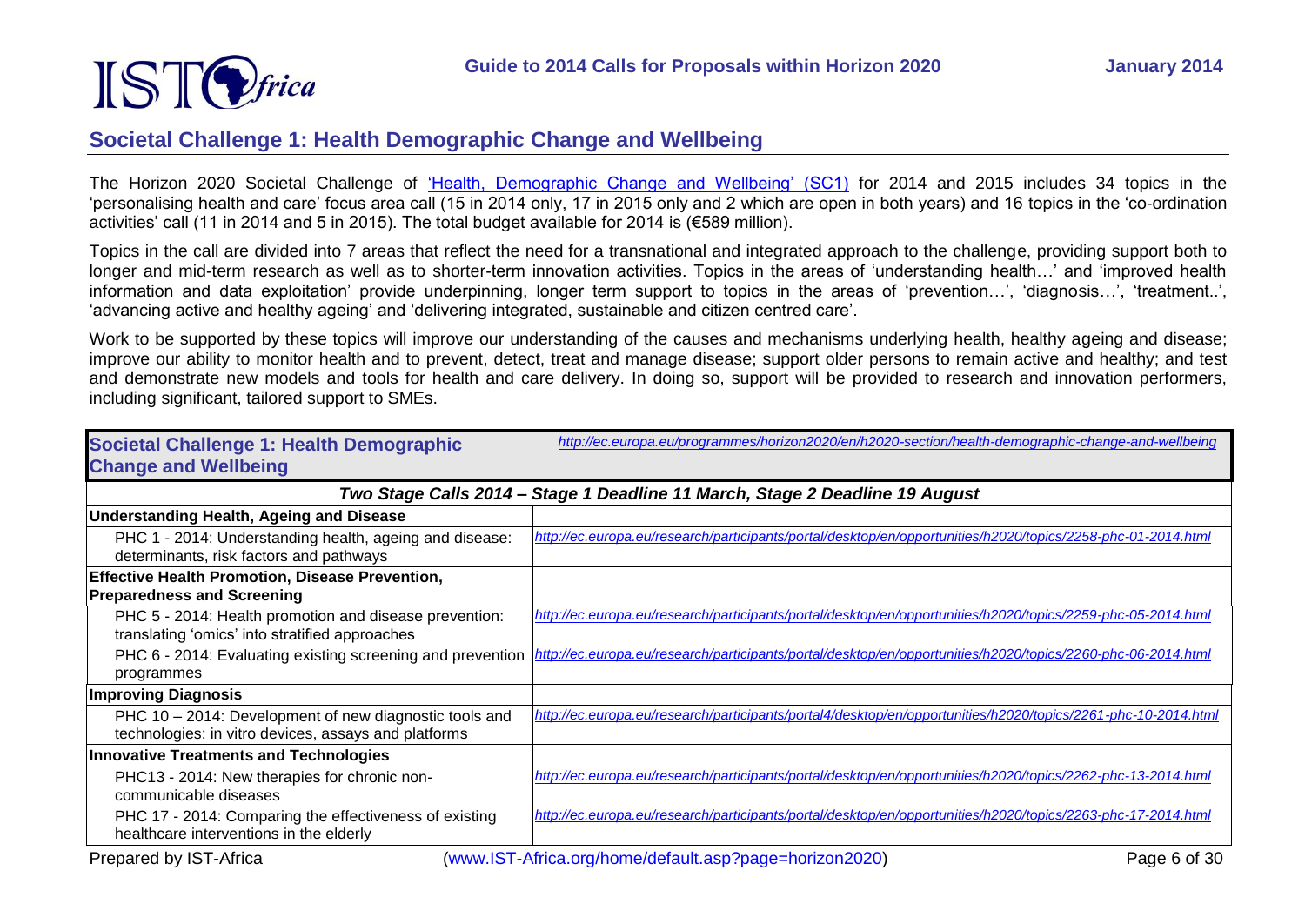

### <span id="page-5-0"></span>**Societal Challenge 1: Health Demographic Change and Wellbeing**

The Horizon 2020 Societal Challenge of ['Health, Demographic Change and Wellbeing' \(SC1\)](http://ec.europa.eu/programmes/horizon2020/en/h2020-section/health-demographic-change-and-wellbeing) for 2014 and 2015 includes 34 topics in the 'personalising health and care' focus area call (15 in 2014 only, 17 in 2015 only and 2 which are open in both years) and 16 topics in the 'co-ordination activities' call (11 in 2014 and 5 in 2015). The total budget available for 2014 is (€589 million).

Topics in the call are divided into 7 areas that reflect the need for a transnational and integrated approach to the challenge, providing support both to longer and mid-term research as well as to shorter-term innovation activities. Topics in the areas of 'understanding health…' and 'improved health information and data exploitation' provide underpinning, longer term support to topics in the areas of 'prevention…', 'diagnosis…', 'treatment..', 'advancing active and healthy ageing' and 'delivering integrated, sustainable and citizen centred care'.

Work to be supported by these topics will improve our understanding of the causes and mechanisms underlying health, healthy ageing and disease; improve our ability to monitor health and to prevent, detect, treat and manage disease; support older persons to remain active and healthy; and test and demonstrate new models and tools for health and care delivery. In doing so, support will be provided to research and innovation performers, including significant, tailored support to SMEs.

| <b>Societal Challenge 1: Health Demographic</b><br><b>Change and Wellbeing</b>                                 | http://ec.europa.eu/programmes/horizon2020/en/h2020-section/health-demographic-change-and-wellbeing           |  |
|----------------------------------------------------------------------------------------------------------------|---------------------------------------------------------------------------------------------------------------|--|
| Two Stage Calls 2014 - Stage 1 Deadline 11 March, Stage 2 Deadline 19 August                                   |                                                                                                               |  |
| <b>Understanding Health, Ageing and Disease</b>                                                                |                                                                                                               |  |
| PHC 1 - 2014: Understanding health, ageing and disease:<br>determinants, risk factors and pathways             | http://ec.europa.eu/research/participants/portal/desktop/en/opportunities/h2020/topics/2258-phc-01-2014.html  |  |
| <b>Effective Health Promotion, Disease Prevention,</b><br><b>Preparedness and Screening</b>                    |                                                                                                               |  |
| PHC 5 - 2014: Health promotion and disease prevention:<br>translating 'omics' into stratified approaches       | http://ec.europa.eu/research/participants/portal/desktop/en/opportunities/h2020/topics/2259-phc-05-2014.html  |  |
| PHC 6 - 2014: Evaluating existing screening and prevention<br>programmes                                       | http://ec.europa.eu/research/participants/portal/desktop/en/opportunities/h2020/topics/2260-phc-06-2014.html  |  |
| <b>Improving Diagnosis</b>                                                                                     |                                                                                                               |  |
| PHC 10 - 2014: Development of new diagnostic tools and<br>technologies: in vitro devices, assays and platforms | http://ec.europa.eu/research/participants/portal4/desktop/en/opportunities/h2020/topics/2261-phc-10-2014.html |  |
| <b>Innovative Treatments and Technologies</b>                                                                  |                                                                                                               |  |
| PHC13 - 2014: New therapies for chronic non-<br>communicable diseases                                          | http://ec.europa.eu/research/participants/portal/desktop/en/opportunities/h2020/topics/2262-phc-13-2014.html  |  |
| PHC 17 - 2014: Comparing the effectiveness of existing<br>healthcare interventions in the elderly              | http://ec.europa.eu/research/participants/portal/desktop/en/opportunities/h2020/topics/2263-phc-17-2014.html  |  |
| Prepared by IST-Africa                                                                                         | (www.IST-Africa.org/home/default.asp?page=horizon2020)<br>Page 6 of 30                                        |  |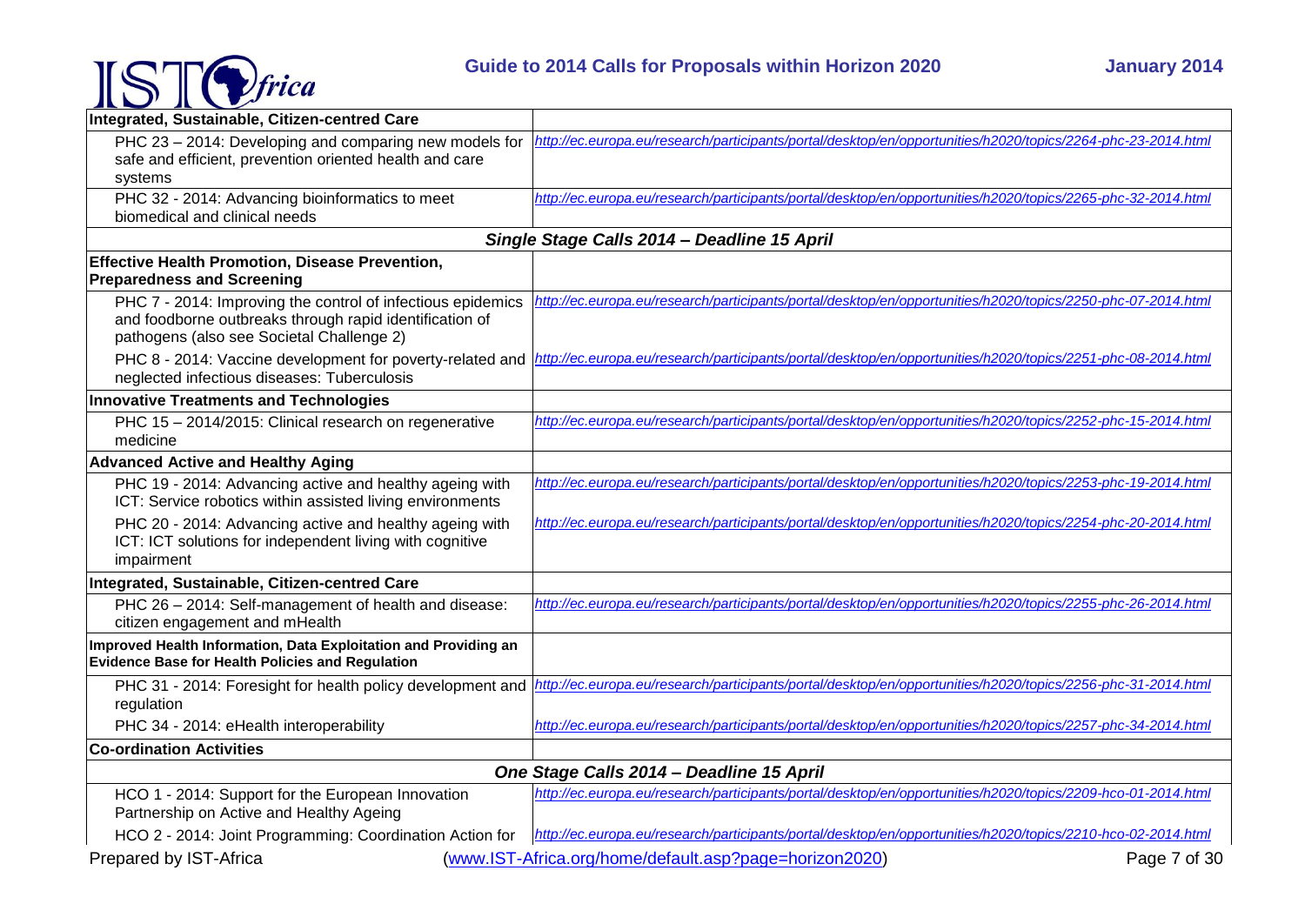

| Integrated, Sustainable, Citizen-centred Care                                                                                                                       |                                                                                                              |
|---------------------------------------------------------------------------------------------------------------------------------------------------------------------|--------------------------------------------------------------------------------------------------------------|
| PHC 23 - 2014: Developing and comparing new models for<br>safe and efficient, prevention oriented health and care<br>systems                                        | http://ec.europa.eu/research/participants/portal/desktop/en/opportunities/h2020/topics/2264-phc-23-2014.html |
| PHC 32 - 2014: Advancing bioinformatics to meet<br>biomedical and clinical needs                                                                                    | http://ec.europa.eu/research/participants/portal/desktop/en/opportunities/h2020/topics/2265-phc-32-2014.html |
|                                                                                                                                                                     | Single Stage Calls 2014 - Deadline 15 April                                                                  |
| <b>Effective Health Promotion, Disease Prevention,</b><br><b>Preparedness and Screening</b>                                                                         |                                                                                                              |
| PHC 7 - 2014: Improving the control of infectious epidemics<br>and foodborne outbreaks through rapid identification of<br>pathogens (also see Societal Challenge 2) | http://ec.europa.eu/research/participants/portal/desktop/en/opportunities/h2020/topics/2250-phc-07-2014.html |
| PHC 8 - 2014: Vaccine development for poverty-related and<br>neglected infectious diseases: Tuberculosis                                                            | http://ec.europa.eu/research/participants/portal/desktop/en/opportunities/h2020/topics/2251-phc-08-2014.html |
| <b>Innovative Treatments and Technologies</b>                                                                                                                       |                                                                                                              |
| PHC 15 - 2014/2015: Clinical research on regenerative<br>medicine                                                                                                   | http://ec.europa.eu/research/participants/portal/desktop/en/opportunities/h2020/topics/2252-phc-15-2014.html |
| <b>Advanced Active and Healthy Aging</b>                                                                                                                            |                                                                                                              |
| PHC 19 - 2014: Advancing active and healthy ageing with<br>ICT: Service robotics within assisted living environments                                                | http://ec.europa.eu/research/participants/portal/desktop/en/opportunities/h2020/topics/2253-phc-19-2014.html |
| PHC 20 - 2014: Advancing active and healthy ageing with<br>ICT: ICT solutions for independent living with cognitive<br>impairment                                   | http://ec.europa.eu/research/participants/portal/desktop/en/opportunities/h2020/topics/2254-phc-20-2014.html |
| Integrated, Sustainable, Citizen-centred Care                                                                                                                       |                                                                                                              |
| PHC 26 - 2014: Self-management of health and disease:<br>citizen engagement and mHealth                                                                             | http://ec.europa.eu/research/participants/portal/desktop/en/opportunities/h2020/topics/2255-phc-26-2014.html |
| Improved Health Information, Data Exploitation and Providing an<br><b>Evidence Base for Health Policies and Regulation</b>                                          |                                                                                                              |
| PHC 31 - 2014: Foresight for health policy development and<br>regulation                                                                                            | http://ec.europa.eu/research/participants/portal/desktop/en/opportunities/h2020/topics/2256-phc-31-2014.html |
| PHC 34 - 2014: eHealth interoperability                                                                                                                             | http://ec.europa.eu/research/participants/portal/desktop/en/opportunities/h2020/topics/2257-phc-34-2014.html |
| <b>Co-ordination Activities</b>                                                                                                                                     |                                                                                                              |
|                                                                                                                                                                     | One Stage Calls 2014 - Deadline 15 April                                                                     |
| HCO 1 - 2014: Support for the European Innovation<br>Partnership on Active and Healthy Ageing                                                                       | http://ec.europa.eu/research/participants/portal/desktop/en/opportunities/h2020/topics/2209-hco-01-2014.html |
| HCO 2 - 2014: Joint Programming: Coordination Action for                                                                                                            | http://ec.europa.eu/research/participants/portal/desktop/en/opportunities/h2020/topics/2210-hco-02-2014.html |
| Prepared by IST-Africa                                                                                                                                              | (www.IST-Africa.org/home/default.asp?page=horizon2020)<br>Page 7 of 30                                       |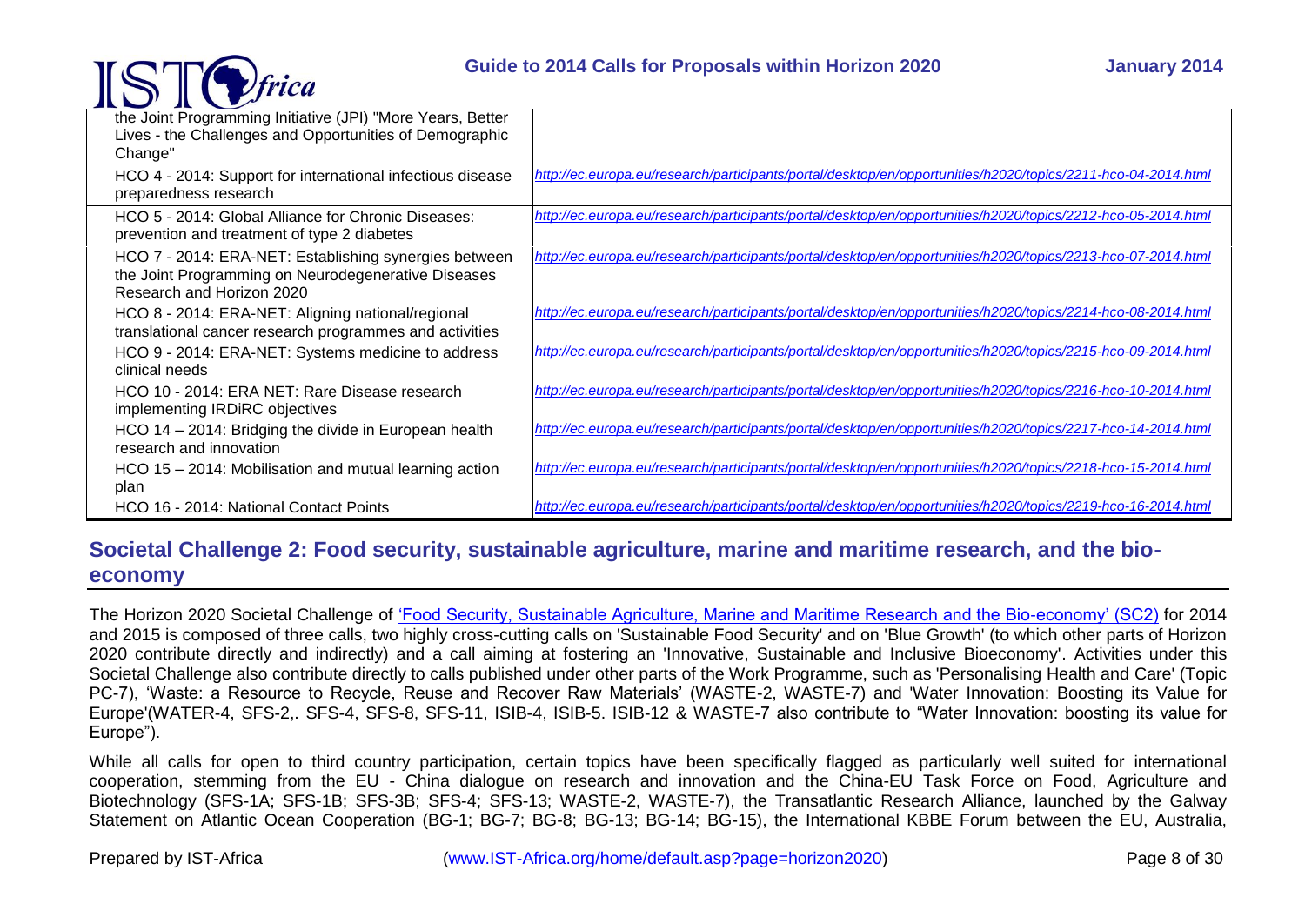### **Guide to 2014 Calls for Proposals within Horizon 2020 January 2014**



| the Joint Programming Initiative (JPI) "More Years, Better<br>Lives - the Challenges and Opportunities of Demographic<br>Change"          |                                                                                                              |
|-------------------------------------------------------------------------------------------------------------------------------------------|--------------------------------------------------------------------------------------------------------------|
| HCO 4 - 2014: Support for international infectious disease<br>preparedness research                                                       | http://ec.europa.eu/research/participants/portal/desktop/en/opportunities/h2020/topics/2211-hco-04-2014.html |
| HCO 5 - 2014: Global Alliance for Chronic Diseases:<br>prevention and treatment of type 2 diabetes                                        | http://ec.europa.eu/research/participants/portal/desktop/en/opportunities/h2020/topics/2212-hco-05-2014.html |
| HCO 7 - 2014: ERA-NET: Establishing synergies between<br>the Joint Programming on Neurodegenerative Diseases<br>Research and Horizon 2020 | http://ec.europa.eu/research/participants/portal/desktop/en/opportunities/h2020/topics/2213-hco-07-2014.html |
| HCO 8 - 2014: ERA-NET: Aligning national/regional<br>translational cancer research programmes and activities                              | http://ec.europa.eu/research/participants/portal/desktop/en/opportunities/h2020/topics/2214-hco-08-2014.html |
| HCO 9 - 2014: ERA-NET: Systems medicine to address<br>clinical needs                                                                      | http://ec.europa.eu/research/participants/portal/desktop/en/opportunities/h2020/topics/2215-hco-09-2014.html |
| HCO 10 - 2014: ERA NET: Rare Disease research<br>implementing IRDiRC objectives                                                           | http://ec.europa.eu/research/participants/portal/desktop/en/opportunities/h2020/topics/2216-hco-10-2014.html |
| HCO 14 - 2014: Bridging the divide in European health<br>research and innovation                                                          | http://ec.europa.eu/research/participants/portal/desktop/en/opportunities/h2020/topics/2217-hco-14-2014.html |
| HCO 15 - 2014: Mobilisation and mutual learning action<br>plan                                                                            | http://ec.europa.eu/research/participants/portal/desktop/en/opportunities/h2020/topics/2218-hco-15-2014.html |

# <span id="page-7-0"></span>**Societal Challenge 2: Food security, sustainable agriculture, marine and maritime research, and the bioeconomy**

The Horizon 2020 Societal Challenge of ['Food Security, Sustainable Agriculture, Marine and Maritime Research and the Bio-economy' \(SC2\)](http://ec.europa.eu/programmes/horizon2020/en/h2020-section/food-security-sustainable-agriculture-and-forestry-marine-maritime-and-inland-water) for 2014 and 2015 is composed of three calls, two highly cross-cutting calls on 'Sustainable Food Security' and on 'Blue Growth' (to which other parts of Horizon 2020 contribute directly and indirectly) and a call aiming at fostering an 'Innovative, Sustainable and Inclusive Bioeconomy'. Activities under this Societal Challenge also contribute directly to calls published under other parts of the Work Programme, such as 'Personalising Health and Care' (Topic PC-7), 'Waste: a Resource to Recycle, Reuse and Recover Raw Materials' (WASTE-2, WASTE-7) and 'Water Innovation: Boosting its Value for Europe'(WATER-4, SFS-2,. SFS-4, SFS-8, SFS-11, ISIB-4, ISIB-5. ISIB-12 & WASTE-7 also contribute to "Water Innovation: boosting its value for Europe").

HCO 16 - 2014: National Contact Points *<http://ec.europa.eu/research/participants/portal/desktop/en/opportunities/h2020/topics/2219-hco-16-2014.html>*

While all calls for open to third country participation, certain topics have been specifically flagged as particularly well suited for international cooperation, stemming from the EU - China dialogue on research and innovation and the China-EU Task Force on Food, Agriculture and Biotechnology (SFS-1A; SFS-1B; SFS-3B; SFS-4; SFS-13; WASTE-2, WASTE-7), the Transatlantic Research Alliance, launched by the Galway Statement on Atlantic Ocean Cooperation (BG-1; BG-7; BG-8; BG-13; BG-14; BG-15), the International KBBE Forum between the EU, Australia,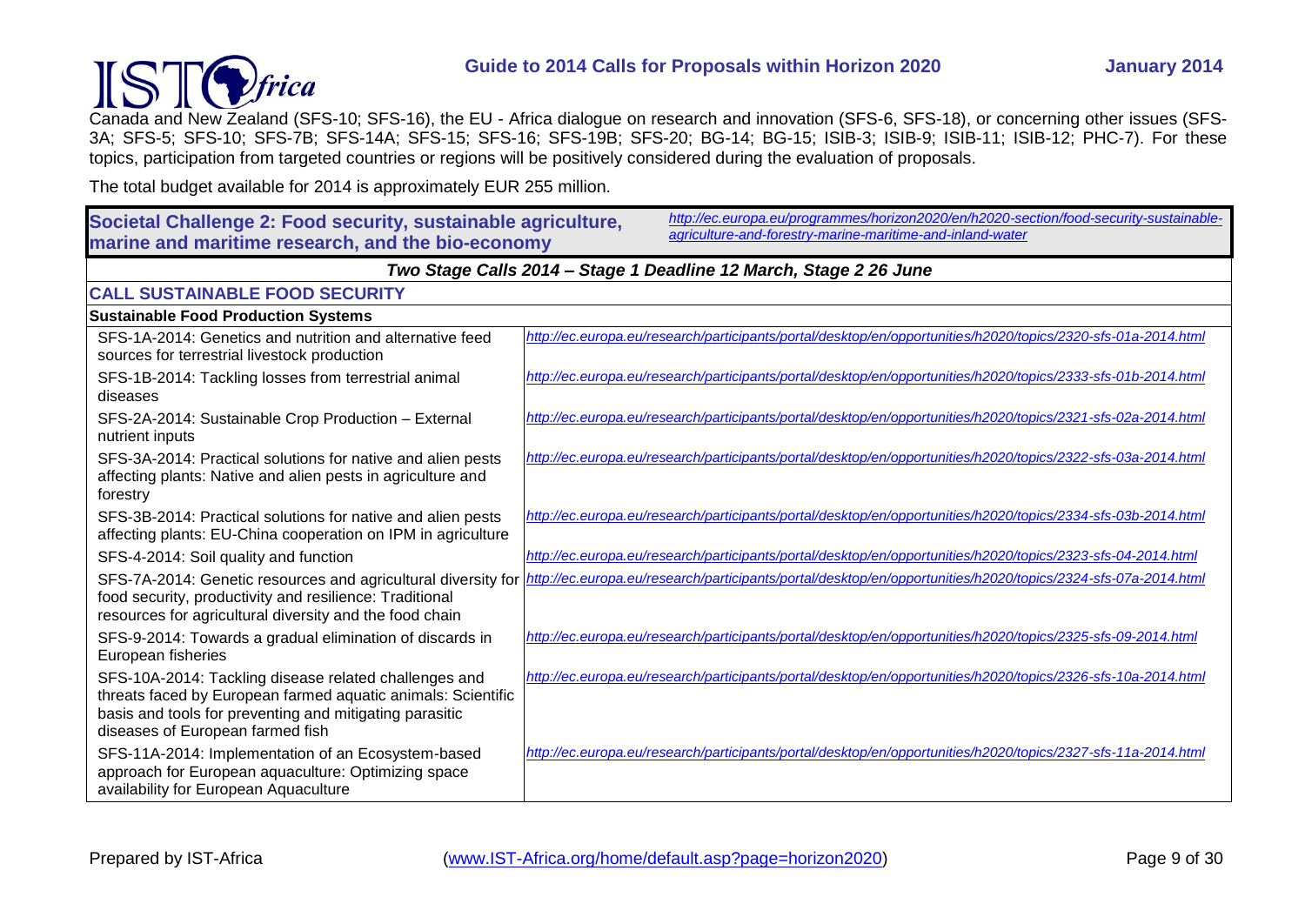

Canada and New Zealand (SFS-10; SFS-16), the EU - Africa dialogue on research and innovation (SFS-6, SFS-18), or concerning other issues (SFS-3A; SFS-5; SFS-10; SFS-7B; SFS-14A; SFS-15; SFS-16; SFS-19B; SFS-20; BG-14; BG-15; ISIB-3; ISIB-9; ISIB-11; ISIB-12; PHC-7). For these topics, participation from targeted countries or regions will be positively considered during the evaluation of proposals.

The total budget available for 2014 is approximately EUR 255 million.

#### **Societal Challenge 2: Food security, sustainable agriculture, marine and maritime research, and the bio-economy**  *[http://ec.europa.eu/programmes/horizon2020/en/h2020-section/food-security-sustainable](http://ec.europa.eu/programmes/horizon2020/en/h2020-section/food-security-sustainable-agriculture-and-forestry-marine-maritime-and-inland-water)[agriculture-and-forestry-marine-maritime-and-inland-water](http://ec.europa.eu/programmes/horizon2020/en/h2020-section/food-security-sustainable-agriculture-and-forestry-marine-maritime-and-inland-water) Two Stage Calls 2014 – Stage 1 Deadline 12 March, Stage 2 26 June* **CALL SUSTAINABLE FOOD SECURITY Sustainable Food Production Systems** SFS-1A-2014: Genetics and nutrition and alternative feed sources for terrestrial livestock production *<http://ec.europa.eu/research/participants/portal/desktop/en/opportunities/h2020/topics/2320-sfs-01a-2014.html>* SFS-1B-2014: Tackling losses from terrestrial animal diseases *<http://ec.europa.eu/research/participants/portal/desktop/en/opportunities/h2020/topics/2333-sfs-01b-2014.html>* SFS-2A-2014: Sustainable Crop Production – External nutrient inputs *<http://ec.europa.eu/research/participants/portal/desktop/en/opportunities/h2020/topics/2321-sfs-02a-2014.html>* SFS-3A-2014: Practical solutions for native and alien pests affecting plants: Native and alien pests in agriculture and forestry *<http://ec.europa.eu/research/participants/portal/desktop/en/opportunities/h2020/topics/2322-sfs-03a-2014.html>* SFS-3B-2014: Practical solutions for native and alien pests affecting plants: EU-China cooperation on IPM in agriculture *<http://ec.europa.eu/research/participants/portal/desktop/en/opportunities/h2020/topics/2334-sfs-03b-2014.html>* SFS-4-2014: Soil quality and function *<http://ec.europa.eu/research/participants/portal/desktop/en/opportunities/h2020/topics/2323-sfs-04-2014.html>* SFS-7A-2014: Genetic resources and agricultural diversity for *http://ec.europa.eu/research/participants/portal/desktop/en/opportunities/h2020/topics/2324-sfs-07a-2014.htm* food security, productivity and resilience: Traditional resources for agricultural diversity and the food chain SFS-9-2014: Towards a gradual elimination of discards in European fisheries *<http://ec.europa.eu/research/participants/portal/desktop/en/opportunities/h2020/topics/2325-sfs-09-2014.html>* SFS-10A-2014: Tackling disease related challenges and threats faced by European farmed aquatic animals: Scientific basis and tools for preventing and mitigating parasitic diseases of European farmed fish *<http://ec.europa.eu/research/participants/portal/desktop/en/opportunities/h2020/topics/2326-sfs-10a-2014.html>* SFS-11A-2014: Implementation of an Ecosystem-based approach for European aquaculture: Optimizing space availability for European Aquaculture *<http://ec.europa.eu/research/participants/portal/desktop/en/opportunities/h2020/topics/2327-sfs-11a-2014.html>*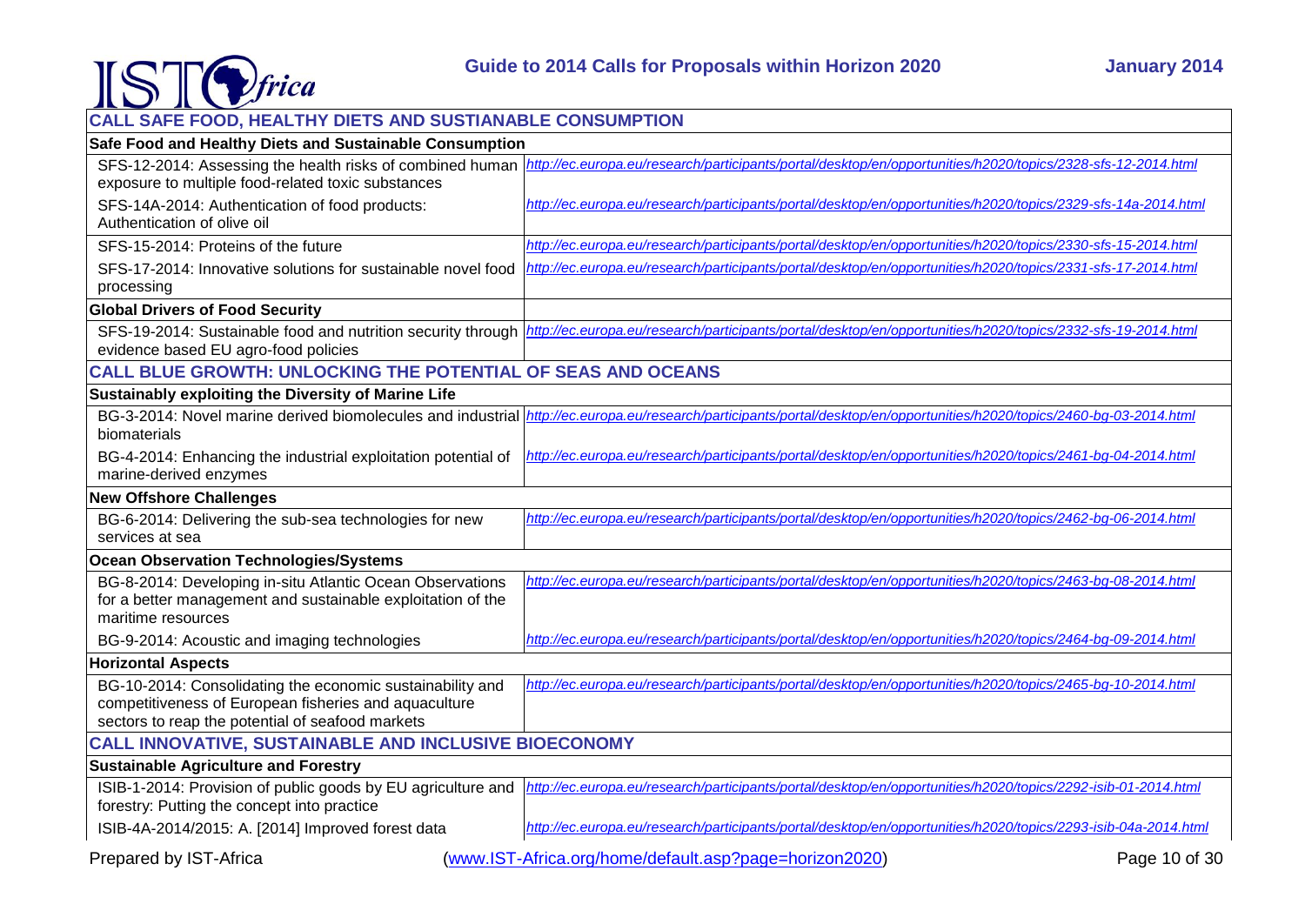

| CALL SAFE FOOD, HEALTHY DIETS AND SUSTIANABLE CONSUMPTION                                                                                                              |                                                                                                                |  |
|------------------------------------------------------------------------------------------------------------------------------------------------------------------------|----------------------------------------------------------------------------------------------------------------|--|
| Safe Food and Healthy Diets and Sustainable Consumption                                                                                                                |                                                                                                                |  |
| SFS-12-2014: Assessing the health risks of combined human<br>exposure to multiple food-related toxic substances                                                        | http://ec.europa.eu/research/participants/portal/desktop/en/opportunities/h2020/topics/2328-sfs-12-2014.html   |  |
| SFS-14A-2014: Authentication of food products:<br>Authentication of olive oil                                                                                          | http://ec.europa.eu/research/participants/portal/desktop/en/opportunities/h2020/topics/2329-sfs-14a-2014.html  |  |
| SFS-15-2014: Proteins of the future                                                                                                                                    | http://ec.europa.eu/research/participants/portal/desktop/en/opportunities/h2020/topics/2330-sfs-15-2014.html   |  |
| SFS-17-2014: Innovative solutions for sustainable novel food<br>processing                                                                                             | http://ec.europa.eu/research/participants/portal/desktop/en/opportunities/h2020/topics/2331-sfs-17-2014.html   |  |
| <b>Global Drivers of Food Security</b>                                                                                                                                 |                                                                                                                |  |
| SFS-19-2014: Sustainable food and nutrition security through<br>evidence based EU agro-food policies                                                                   | http://ec.europa.eu/research/participants/portal/desktop/en/opportunities/h2020/topics/2332-sfs-19-2014.html   |  |
| <b>CALL BLUE GROWTH: UNLOCKING THE POTENTIAL OF SEAS AND OCEANS</b>                                                                                                    |                                                                                                                |  |
| Sustainably exploiting the Diversity of Marine Life                                                                                                                    |                                                                                                                |  |
| BG-3-2014: Novel marine derived biomolecules and industrial<br>biomaterials                                                                                            | http://ec.europa.eu/research/participants/portal/desktop/en/opportunities/h2020/topics/2460-bg-03-2014.html    |  |
| BG-4-2014: Enhancing the industrial exploitation potential of<br>marine-derived enzymes                                                                                | http://ec.europa.eu/research/participants/portal/desktop/en/opportunities/h2020/topics/2461-bq-04-2014.html    |  |
| <b>New Offshore Challenges</b>                                                                                                                                         |                                                                                                                |  |
| BG-6-2014: Delivering the sub-sea technologies for new<br>services at sea                                                                                              | http://ec.europa.eu/research/participants/portal/desktop/en/opportunities/h2020/topics/2462-bq-06-2014.html    |  |
| <b>Ocean Observation Technologies/Systems</b>                                                                                                                          |                                                                                                                |  |
| BG-8-2014: Developing in-situ Atlantic Ocean Observations<br>for a better management and sustainable exploitation of the<br>maritime resources                         | http://ec.europa.eu/research/participants/portal/desktop/en/opportunities/h2020/topics/2463-bq-08-2014.html    |  |
| BG-9-2014: Acoustic and imaging technologies                                                                                                                           | http://ec.europa.eu/research/participants/portal/desktop/en/opportunities/h2020/topics/2464-bg-09-2014.html    |  |
| <b>Horizontal Aspects</b>                                                                                                                                              |                                                                                                                |  |
| BG-10-2014: Consolidating the economic sustainability and<br>competitiveness of European fisheries and aquaculture<br>sectors to reap the potential of seafood markets | http://ec.europa.eu/research/participants/portal/desktop/en/opportunities/h2020/topics/2465-bg-10-2014.html    |  |
| <b>CALL INNOVATIVE, SUSTAINABLE AND INCLUSIVE BIOECONOMY</b>                                                                                                           |                                                                                                                |  |
| <b>Sustainable Agriculture and Forestry</b>                                                                                                                            |                                                                                                                |  |
| ISIB-1-2014: Provision of public goods by EU agriculture and<br>forestry: Putting the concept into practice                                                            | http://ec.europa.eu/research/participants/portal/desktop/en/opportunities/h2020/topics/2292-isib-01-2014.html  |  |
| ISIB-4A-2014/2015: A. [2014] Improved forest data                                                                                                                      | http://ec.europa.eu/research/participants/portal/desktop/en/opportunities/h2020/topics/2293-isib-04a-2014.html |  |
| Prepared by IST-Africa                                                                                                                                                 | (www.IST-Africa.org/home/default.asp?page=horizon2020)<br>Page 10 of 30                                        |  |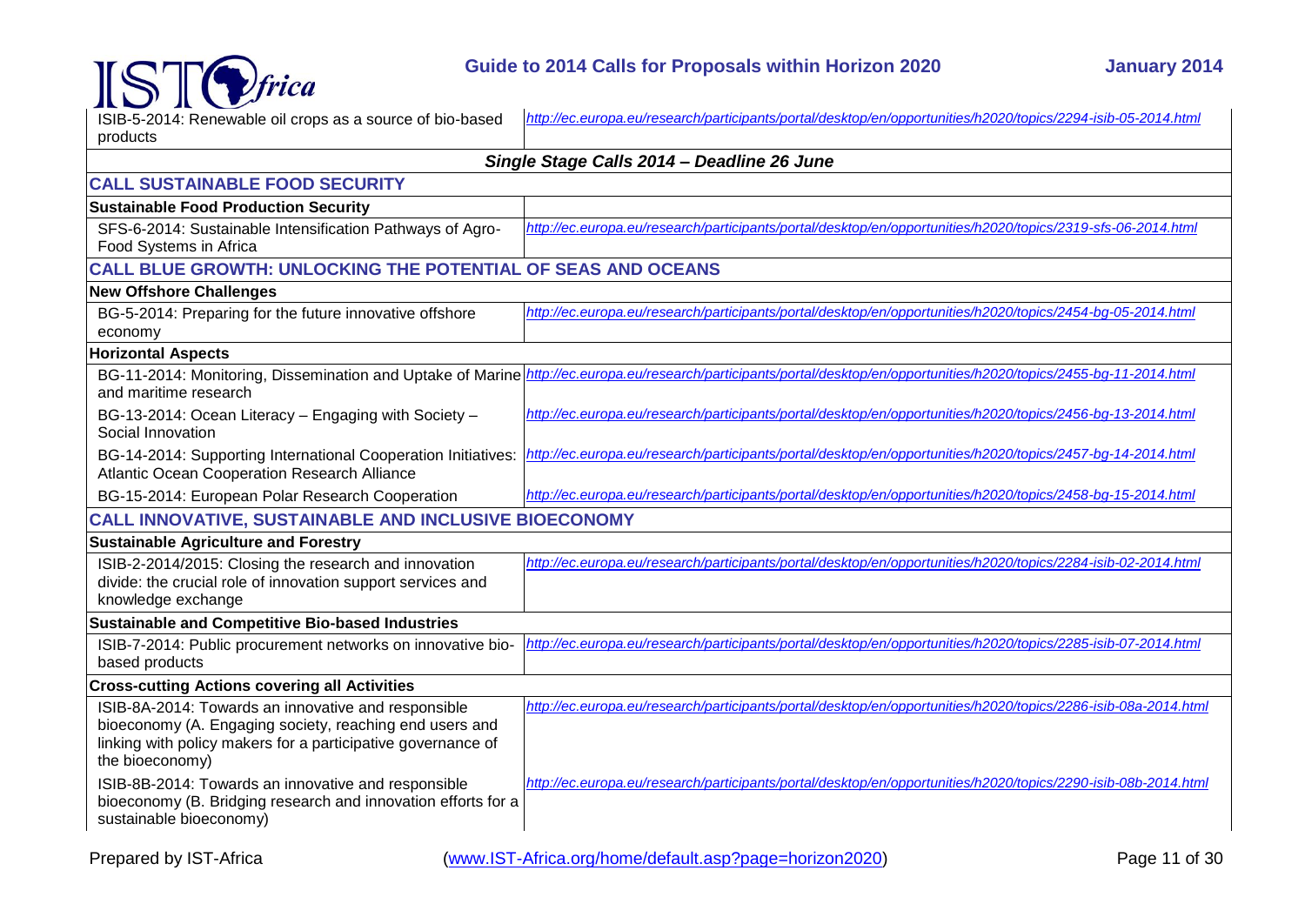

| <b>IV IVERE</b>                                                                                                                                                                                   |                                                                                                                                                                        |
|---------------------------------------------------------------------------------------------------------------------------------------------------------------------------------------------------|------------------------------------------------------------------------------------------------------------------------------------------------------------------------|
| ISIB-5-2014: Renewable oil crops as a source of bio-based                                                                                                                                         | http://ec.europa.eu/research/participants/portal/desktop/en/opportunities/h2020/topics/2294-isib-05-2014.html                                                          |
| products                                                                                                                                                                                          |                                                                                                                                                                        |
|                                                                                                                                                                                                   | Single Stage Calls 2014 - Deadline 26 June                                                                                                                             |
| <b>CALL SUSTAINABLE FOOD SECURITY</b>                                                                                                                                                             |                                                                                                                                                                        |
| <b>Sustainable Food Production Security</b>                                                                                                                                                       |                                                                                                                                                                        |
| SFS-6-2014: Sustainable Intensification Pathways of Agro-<br>Food Systems in Africa                                                                                                               | http://ec.europa.eu/research/participants/portal/desktop/en/opportunities/h2020/topics/2319-sfs-06-2014.html                                                           |
| <b>CALL BLUE GROWTH: UNLOCKING THE POTENTIAL OF SEAS AND OCEANS</b>                                                                                                                               |                                                                                                                                                                        |
| <b>New Offshore Challenges</b>                                                                                                                                                                    |                                                                                                                                                                        |
| BG-5-2014: Preparing for the future innovative offshore<br>economy                                                                                                                                | http://ec.europa.eu/research/participants/portal/desktop/en/opportunities/h2020/topics/2454-bq-05-2014.html                                                            |
| <b>Horizontal Aspects</b>                                                                                                                                                                         |                                                                                                                                                                        |
| and maritime research                                                                                                                                                                             | BG-11-2014: Monitoring, Dissemination and Uptake of Marine http://ec.europa.eu/research/participants/portal/desktop/en/opportunities/h2020/topics/2455-bg-11-2014.html |
| BG-13-2014: Ocean Literacy - Engaging with Society -<br>Social Innovation                                                                                                                         | http://ec.europa.eu/research/participants/portal/desktop/en/opportunities/h2020/topics/2456-bg-13-2014.html                                                            |
| BG-14-2014: Supporting International Cooperation Initiatives:<br>Atlantic Ocean Cooperation Research Alliance                                                                                     | http://ec.europa.eu/research/participants/portal/desktop/en/opportunities/h2020/topics/2457-bg-14-2014.html                                                            |
| BG-15-2014: European Polar Research Cooperation                                                                                                                                                   | http://ec.europa.eu/research/participants/portal/desktop/en/opportunities/h2020/topics/2458-bg-15-2014.html                                                            |
| <b>CALL INNOVATIVE, SUSTAINABLE AND INCLUSIVE BIOECONOMY</b>                                                                                                                                      |                                                                                                                                                                        |
| <b>Sustainable Agriculture and Forestry</b>                                                                                                                                                       |                                                                                                                                                                        |
| ISIB-2-2014/2015: Closing the research and innovation<br>divide: the crucial role of innovation support services and<br>knowledge exchange                                                        | http://ec.europa.eu/research/participants/portal/desktop/en/opportunities/h2020/topics/2284-isib-02-2014.html                                                          |
| <b>Sustainable and Competitive Bio-based Industries</b>                                                                                                                                           |                                                                                                                                                                        |
| ISIB-7-2014: Public procurement networks on innovative bio-<br>based products                                                                                                                     | http://ec.europa.eu/research/participants/portal/desktop/en/opportunities/h2020/topics/2285-isib-07-2014.html                                                          |
| <b>Cross-cutting Actions covering all Activities</b>                                                                                                                                              |                                                                                                                                                                        |
| ISIB-8A-2014: Towards an innovative and responsible<br>bioeconomy (A. Engaging society, reaching end users and<br>linking with policy makers for a participative governance of<br>the bioeconomy) | http://ec.europa.eu/research/participants/portal/desktop/en/opportunities/h2020/topics/2286-isib-08a-2014.html                                                         |
| ISIB-8B-2014: Towards an innovative and responsible<br>bioeconomy (B. Bridging research and innovation efforts for a<br>sustainable bioeconomy)                                                   | http://ec.europa.eu/research/participants/portal/desktop/en/opportunities/h2020/topics/2290-isib-08b-2014.html                                                         |

 $\mathbb{K}$  TO frical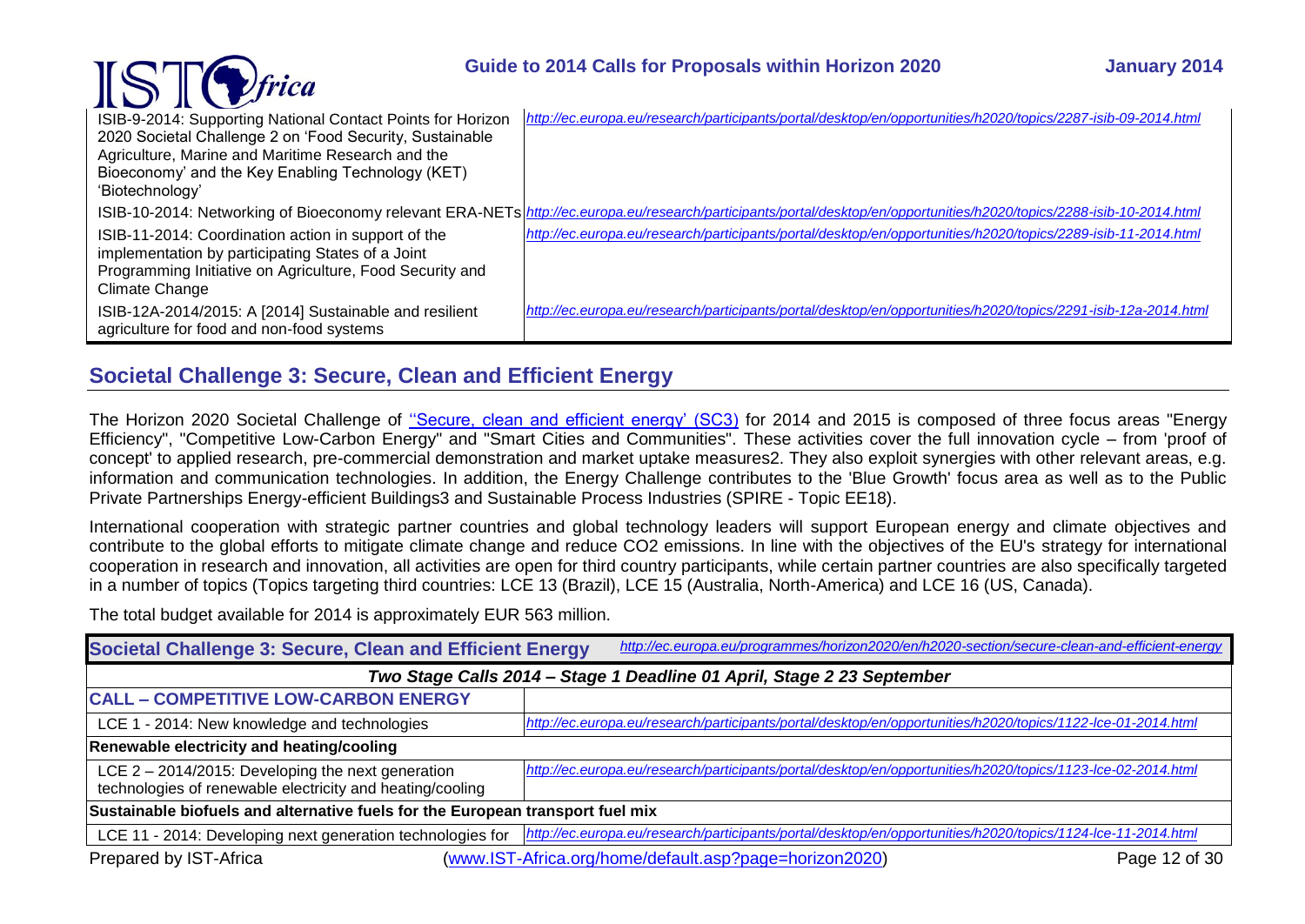### **Guide to 2014 Calls for Proposals within Horizon 2020 January 2014**

| $\mathbf{R}$                                                                                                                                                                           |                                                                                                                                                                        |
|----------------------------------------------------------------------------------------------------------------------------------------------------------------------------------------|------------------------------------------------------------------------------------------------------------------------------------------------------------------------|
| ISIB-9-2014: Supporting National Contact Points for Horizon                                                                                                                            | http://ec.europa.eu/research/participants/portal/desktop/en/opportunities/h2020/topics/2287-isib-09-2014.html                                                          |
| 2020 Societal Challenge 2 on 'Food Security, Sustainable                                                                                                                               |                                                                                                                                                                        |
| Agriculture, Marine and Maritime Research and the                                                                                                                                      |                                                                                                                                                                        |
| Bioeconomy' and the Key Enabling Technology (KET)                                                                                                                                      |                                                                                                                                                                        |
| 'Biotechnology'                                                                                                                                                                        |                                                                                                                                                                        |
|                                                                                                                                                                                        | ISIB-10-2014: Networking of Bioeconomy relevant ERA-NETs http://ec.europa.eu/research/participants/portal/desktop/en/opportunities/h2020/topics/2288-isib-10-2014.html |
| ISIB-11-2014: Coordination action in support of the<br>implementation by participating States of a Joint<br>Programming Initiative on Agriculture, Food Security and<br>Climate Change | http://ec.europa.eu/research/participants/portal/desktop/en/opportunities/h2020/topics/2289-isib-11-2014.html                                                          |
| ISIB-12A-2014/2015: A [2014] Sustainable and resilient<br>agriculture for food and non-food systems                                                                                    | http://ec.europa.eu/research/participants/portal/desktop/en/opportunities/h2020/topics/2291-isib-12a-2014.html                                                         |

### <span id="page-11-0"></span>**Societal Challenge 3: Secure, Clean and Efficient Energy**

 $\text{TSTC}$ frica

The Horizon 2020 Societal Challenge of [''Secure, clean and efficient energy' \(SC3\)](http://ec.europa.eu/programmes/horizon2020/en/h2020-section/secure-clean-and-efficient-energy) for 2014 and 2015 is composed of three focus areas "Energy Efficiency", "Competitive Low-Carbon Energy" and "Smart Cities and Communities". These activities cover the full innovation cycle – from 'proof of concept' to applied research, pre-commercial demonstration and market uptake measures2. They also exploit synergies with other relevant areas, e.g. information and communication technologies. In addition, the Energy Challenge contributes to the 'Blue Growth' focus area as well as to the Public Private Partnerships Energy-efficient Buildings3 and Sustainable Process Industries (SPIRE - Topic EE18).

International cooperation with strategic partner countries and global technology leaders will support European energy and climate objectives and contribute to the global efforts to mitigate climate change and reduce CO2 emissions. In line with the objectives of the EU's strategy for international cooperation in research and innovation, all activities are open for third country participants, while certain partner countries are also specifically targeted in a number of topics (Topics targeting third countries: LCE 13 (Brazil), LCE 15 (Australia, North-America) and LCE 16 (US, Canada).

The total budget available for 2014 is approximately EUR 563 million.

| Societal Challenge 3: Secure, Clean and Efficient Energy                                                          | http://ec.europa.eu/programmes/horizon2020/en/h2020-section/secure-clean-and-efficient-energy                |  |
|-------------------------------------------------------------------------------------------------------------------|--------------------------------------------------------------------------------------------------------------|--|
| Two Stage Calls 2014 - Stage 1 Deadline 01 April, Stage 2 23 September                                            |                                                                                                              |  |
| <b>CALL - COMPETITIVE LOW-CARBON ENERGY</b>                                                                       |                                                                                                              |  |
| LCE 1 - 2014: New knowledge and technologies                                                                      | http://ec.europa.eu/research/participants/portal/desktop/en/opportunities/h2020/topics/1122-lce-01-2014.html |  |
| Renewable electricity and heating/cooling                                                                         |                                                                                                              |  |
| LCE $2 - 2014/2015$ : Developing the next generation<br>technologies of renewable electricity and heating/cooling | http://ec.europa.eu/research/participants/portal/desktop/en/opportunities/h2020/topics/1123-lce-02-2014.html |  |
| Sustainable biofuels and alternative fuels for the European transport fuel mix                                    |                                                                                                              |  |
| LCE 11 - 2014: Developing next generation technologies for                                                        | http://ec.europa.eu/research/participants/portal/desktop/en/opportunities/h2020/topics/1124-lce-11-2014.html |  |
| Prepared by IST-Africa                                                                                            | (www.IST-Africa.org/home/default.asp?page=horizon2020)<br>Page 12 of 30                                      |  |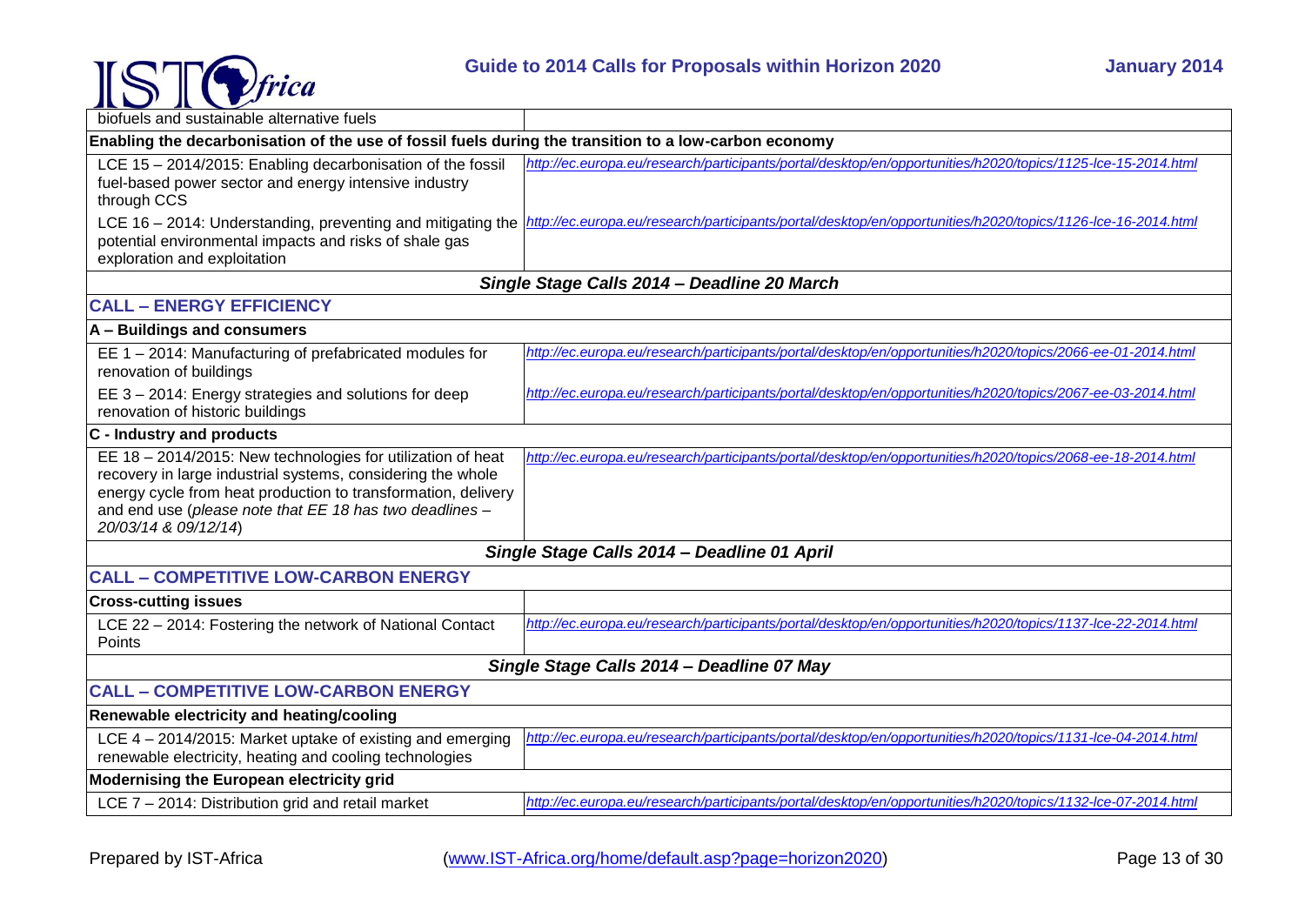

| $\sim$<br>biofuels and sustainable alternative fuels                                                                                                                                                                                                                           |                                                                                                              |  |
|--------------------------------------------------------------------------------------------------------------------------------------------------------------------------------------------------------------------------------------------------------------------------------|--------------------------------------------------------------------------------------------------------------|--|
|                                                                                                                                                                                                                                                                                |                                                                                                              |  |
| Enabling the decarbonisation of the use of fossil fuels during the transition to a low-carbon economy                                                                                                                                                                          |                                                                                                              |  |
| LCE 15 - 2014/2015: Enabling decarbonisation of the fossil<br>fuel-based power sector and energy intensive industry<br>through CCS                                                                                                                                             | http://ec.europa.eu/research/participants/portal/desktop/en/opportunities/h2020/topics/1125-lce-15-2014.html |  |
| LCE 16 - 2014: Understanding, preventing and mitigating the<br>potential environmental impacts and risks of shale gas<br>exploration and exploitation                                                                                                                          | http://ec.europa.eu/research/participants/portal/desktop/en/opportunities/h2020/topics/1126-lce-16-2014.html |  |
|                                                                                                                                                                                                                                                                                | Single Stage Calls 2014 - Deadline 20 March                                                                  |  |
| <b>CALL - ENERGY EFFICIENCY</b>                                                                                                                                                                                                                                                |                                                                                                              |  |
| A - Buildings and consumers                                                                                                                                                                                                                                                    |                                                                                                              |  |
| EE 1 - 2014: Manufacturing of prefabricated modules for<br>renovation of buildings                                                                                                                                                                                             | http://ec.europa.eu/research/participants/portal/desktop/en/opportunities/h2020/topics/2066-ee-01-2014.html  |  |
| EE 3 - 2014: Energy strategies and solutions for deep<br>renovation of historic buildings                                                                                                                                                                                      | http://ec.europa.eu/research/participants/portal/desktop/en/opportunities/h2020/topics/2067-ee-03-2014.html  |  |
| C - Industry and products                                                                                                                                                                                                                                                      |                                                                                                              |  |
| EE 18 - 2014/2015: New technologies for utilization of heat<br>recovery in large industrial systems, considering the whole<br>energy cycle from heat production to transformation, delivery<br>and end use (please note that EE 18 has two deadlines -<br>20/03/14 & 09/12/14) | http://ec.europa.eu/research/participants/portal/desktop/en/opportunities/h2020/topics/2068-ee-18-2014.html  |  |
|                                                                                                                                                                                                                                                                                | Single Stage Calls 2014 - Deadline 01 April                                                                  |  |
| <b>CALL - COMPETITIVE LOW-CARBON ENERGY</b>                                                                                                                                                                                                                                    |                                                                                                              |  |
| <b>Cross-cutting issues</b>                                                                                                                                                                                                                                                    |                                                                                                              |  |
| LCE 22 - 2014: Fostering the network of National Contact<br>Points                                                                                                                                                                                                             | http://ec.europa.eu/research/participants/portal/desktop/en/opportunities/h2020/topics/1137-lce-22-2014.html |  |
|                                                                                                                                                                                                                                                                                | Single Stage Calls 2014 - Deadline 07 May                                                                    |  |
| <b>CALL - COMPETITIVE LOW-CARBON ENERGY</b>                                                                                                                                                                                                                                    |                                                                                                              |  |
| Renewable electricity and heating/cooling                                                                                                                                                                                                                                      |                                                                                                              |  |
| LCE 4 - 2014/2015: Market uptake of existing and emerging                                                                                                                                                                                                                      | http://ec.europa.eu/research/participants/portal/desktop/en/opportunities/h2020/topics/1131-lce-04-2014.html |  |
| renewable electricity, heating and cooling technologies                                                                                                                                                                                                                        |                                                                                                              |  |
| Modernising the European electricity grid                                                                                                                                                                                                                                      |                                                                                                              |  |
| LCE 7 - 2014: Distribution grid and retail market                                                                                                                                                                                                                              | http://ec.europa.eu/research/participants/portal/desktop/en/opportunities/h2020/topics/1132-lce-07-2014.html |  |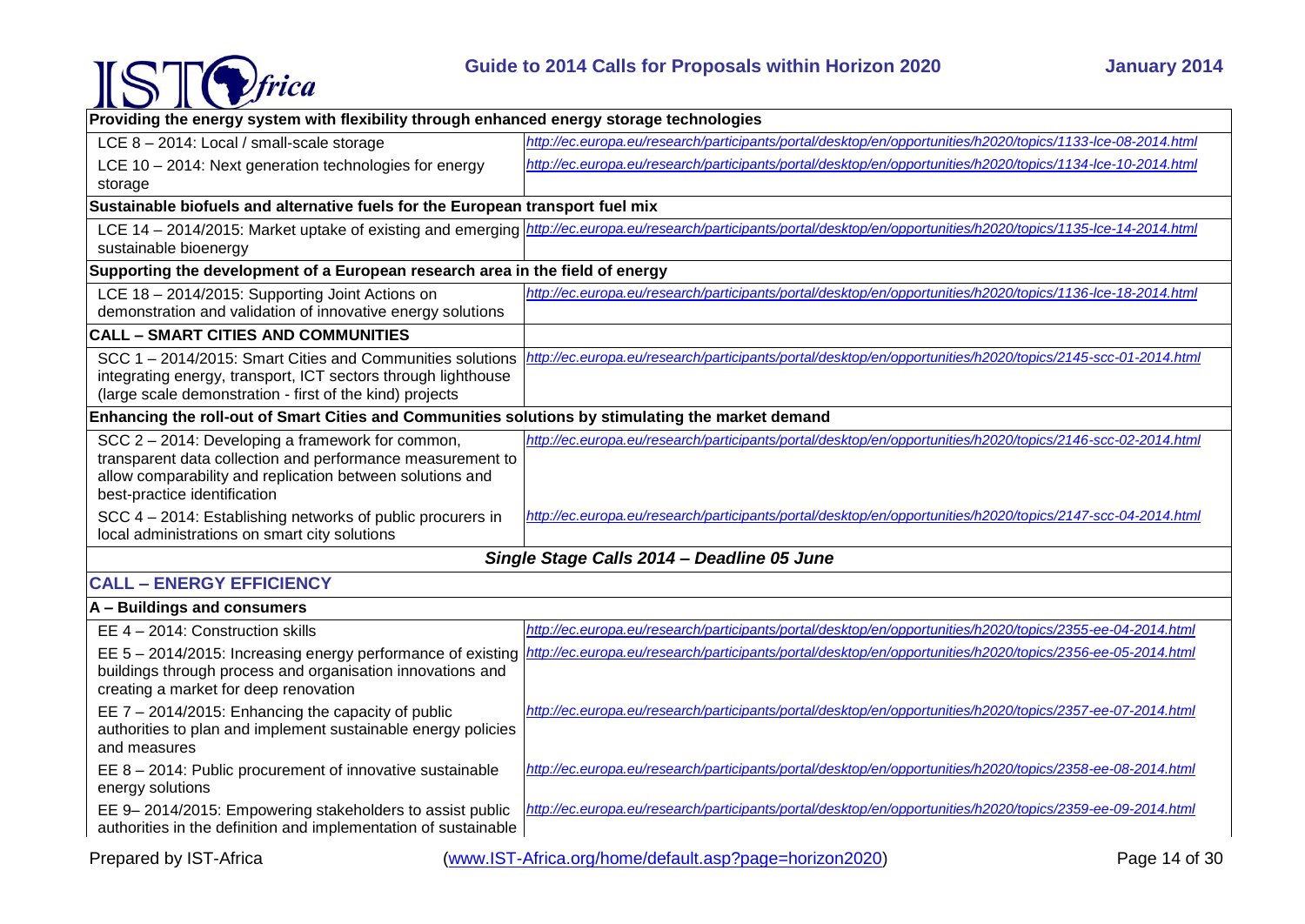

| Providing the energy system with flexibility through enhanced energy storage technologies                               |                                                                                                              |  |
|-------------------------------------------------------------------------------------------------------------------------|--------------------------------------------------------------------------------------------------------------|--|
| LCE 8 - 2014: Local / small-scale storage                                                                               | http://ec.europa.eu/research/participants/portal/desktop/en/opportunities/h2020/topics/1133-lce-08-2014.html |  |
| LCE 10 - 2014: Next generation technologies for energy                                                                  | http://ec.europa.eu/research/participants/portal/desktop/en/opportunities/h2020/topics/1134-lce-10-2014.html |  |
| storage                                                                                                                 |                                                                                                              |  |
| Sustainable biofuels and alternative fuels for the European transport fuel mix                                          |                                                                                                              |  |
| LCE 14 - 2014/2015: Market uptake of existing and emerging                                                              | http://ec.europa.eu/research/participants/portal/desktop/en/opportunities/h2020/topics/1135-lce-14-2014.html |  |
| sustainable bioenergy                                                                                                   |                                                                                                              |  |
| Supporting the development of a European research area in the field of energy                                           |                                                                                                              |  |
| LCE 18 - 2014/2015: Supporting Joint Actions on                                                                         | http://ec.europa.eu/research/participants/portal/desktop/en/opportunities/h2020/topics/1136-lce-18-2014.html |  |
| demonstration and validation of innovative energy solutions                                                             |                                                                                                              |  |
| <b>CALL - SMART CITIES AND COMMUNITIES</b>                                                                              |                                                                                                              |  |
| SCC 1-2014/2015: Smart Cities and Communities solutions                                                                 | http://ec.europa.eu/research/participants/portal/desktop/en/opportunities/h2020/topics/2145-scc-01-2014.html |  |
| integrating energy, transport, ICT sectors through lighthouse                                                           |                                                                                                              |  |
| (large scale demonstration - first of the kind) projects                                                                |                                                                                                              |  |
| Enhancing the roll-out of Smart Cities and Communities solutions by stimulating the market demand                       |                                                                                                              |  |
| SCC 2 - 2014: Developing a framework for common,                                                                        | http://ec.europa.eu/research/participants/portal/desktop/en/opportunities/h2020/topics/2146-scc-02-2014.html |  |
| transparent data collection and performance measurement to<br>allow comparability and replication between solutions and |                                                                                                              |  |
| best-practice identification                                                                                            |                                                                                                              |  |
| SCC 4 - 2014: Establishing networks of public procurers in                                                              | http://ec.europa.eu/research/participants/portal/desktop/en/opportunities/h2020/topics/2147-scc-04-2014.html |  |
| local administrations on smart city solutions                                                                           |                                                                                                              |  |
|                                                                                                                         | Single Stage Calls 2014 - Deadline 05 June                                                                   |  |
| <b>CALL - ENERGY EFFICIENCY</b>                                                                                         |                                                                                                              |  |
| A - Buildings and consumers                                                                                             |                                                                                                              |  |
| EE 4 - 2014: Construction skills                                                                                        | http://ec.europa.eu/research/participants/portal/desktop/en/opportunities/h2020/topics/2355-ee-04-2014.html  |  |
| EE $5 - 2014/2015$ : Increasing energy performance of existing                                                          | http://ec.europa.eu/research/participants/portal/desktop/en/opportunities/h2020/topics/2356-ee-05-2014.html  |  |
| buildings through process and organisation innovations and                                                              |                                                                                                              |  |
| creating a market for deep renovation                                                                                   |                                                                                                              |  |
| EE $7 - 2014/2015$ : Enhancing the capacity of public                                                                   | http://ec.europa.eu/research/participants/portal/desktop/en/opportunities/h2020/topics/2357-ee-07-2014.html  |  |
| authorities to plan and implement sustainable energy policies<br>and measures                                           |                                                                                                              |  |
| EE 8 - 2014: Public procurement of innovative sustainable                                                               | http://ec.europa.eu/research/participants/portal/desktop/en/opportunities/h2020/topics/2358-ee-08-2014.html  |  |
| energy solutions                                                                                                        |                                                                                                              |  |
| EE 9-2014/2015: Empowering stakeholders to assist public                                                                | http://ec.europa.eu/research/participants/portal/desktop/en/opportunities/h2020/topics/2359-ee-09-2014.html  |  |
| authorities in the definition and implementation of sustainable                                                         |                                                                                                              |  |
| Prepared by IST-Africa                                                                                                  | (www.IST-Africa.org/home/default.asp?page=horizon2020)<br>Page 14 of 30                                      |  |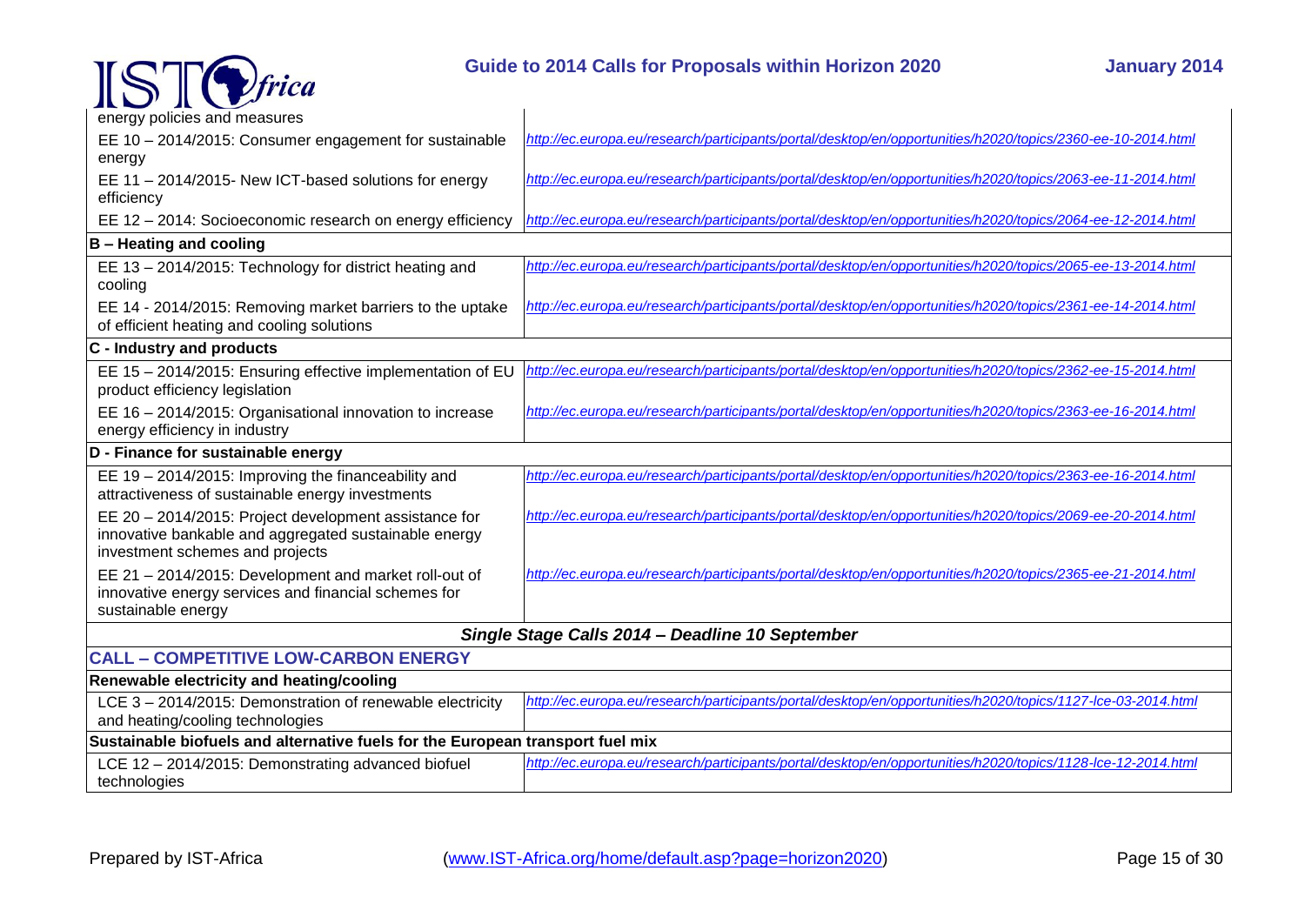

### **Guide to 2014 Calls for Proposals within Horizon 2020 January 2014**

| KO KO                                                                                                         |                                                                                                              |
|---------------------------------------------------------------------------------------------------------------|--------------------------------------------------------------------------------------------------------------|
| energy policies and measures                                                                                  |                                                                                                              |
| EE 10 - 2014/2015: Consumer engagement for sustainable                                                        | http://ec.europa.eu/research/participants/portal/desktop/en/opportunities/h2020/topics/2360-ee-10-2014.html  |
| energy                                                                                                        |                                                                                                              |
| EE 11 - 2014/2015- New ICT-based solutions for energy                                                         | http://ec.europa.eu/research/participants/portal/desktop/en/opportunities/h2020/topics/2063-ee-11-2014.html  |
| efficiency                                                                                                    |                                                                                                              |
| EE 12 - 2014: Socioeconomic research on energy efficiency                                                     | http://ec.europa.eu/research/participants/portal/desktop/en/opportunities/h2020/topics/2064-ee-12-2014.html  |
| <b>B</b> – Heating and cooling                                                                                |                                                                                                              |
| EE 13 - 2014/2015: Technology for district heating and<br>cooling                                             | http://ec.europa.eu/research/participants/portal/desktop/en/opportunities/h2020/topics/2065-ee-13-2014.html  |
| EE 14 - 2014/2015: Removing market barriers to the uptake                                                     | http://ec.europa.eu/research/participants/portal/desktop/en/opportunities/h2020/topics/2361-ee-14-2014.html  |
| of efficient heating and cooling solutions                                                                    |                                                                                                              |
| C - Industry and products                                                                                     |                                                                                                              |
| EE 15 - 2014/2015: Ensuring effective implementation of EU                                                    | http://ec.europa.eu/research/participants/portal/desktop/en/opportunities/h2020/topics/2362-ee-15-2014.html  |
| product efficiency legislation                                                                                |                                                                                                              |
| EE 16 - 2014/2015: Organisational innovation to increase                                                      | http://ec.europa.eu/research/participants/portal/desktop/en/opportunities/h2020/topics/2363-ee-16-2014.html  |
| energy efficiency in industry                                                                                 |                                                                                                              |
| D - Finance for sustainable energy                                                                            |                                                                                                              |
| EE 19 - 2014/2015: Improving the financeability and                                                           | http://ec.europa.eu/research/participants/portal/desktop/en/opportunities/h2020/topics/2363-ee-16-2014.html  |
| attractiveness of sustainable energy investments                                                              |                                                                                                              |
| EE 20 - 2014/2015: Project development assistance for                                                         | http://ec.europa.eu/research/participants/portal/desktop/en/opportunities/h2020/topics/2069-ee-20-2014.html  |
| innovative bankable and aggregated sustainable energy<br>investment schemes and projects                      |                                                                                                              |
|                                                                                                               | http://ec.europa.eu/research/participants/portal/desktop/en/opportunities/h2020/topics/2365-ee-21-2014.html  |
| EE 21 - 2014/2015: Development and market roll-out of<br>innovative energy services and financial schemes for |                                                                                                              |
| sustainable energy                                                                                            |                                                                                                              |
|                                                                                                               | Single Stage Calls 2014 - Deadline 10 September                                                              |
| <b>CALL - COMPETITIVE LOW-CARBON ENERGY</b>                                                                   |                                                                                                              |
| Renewable electricity and heating/cooling                                                                     |                                                                                                              |
| LCE 3 - 2014/2015: Demonstration of renewable electricity                                                     | http://ec.europa.eu/research/participants/portal/desktop/en/opportunities/h2020/topics/1127-lce-03-2014.html |
| and heating/cooling technologies                                                                              |                                                                                                              |
| Sustainable biofuels and alternative fuels for the European transport fuel mix                                |                                                                                                              |
| LCE 12 - 2014/2015: Demonstrating advanced biofuel                                                            | http://ec.europa.eu/research/participants/portal/desktop/en/opportunities/h2020/topics/1128-lce-12-2014.html |
| technologies                                                                                                  |                                                                                                              |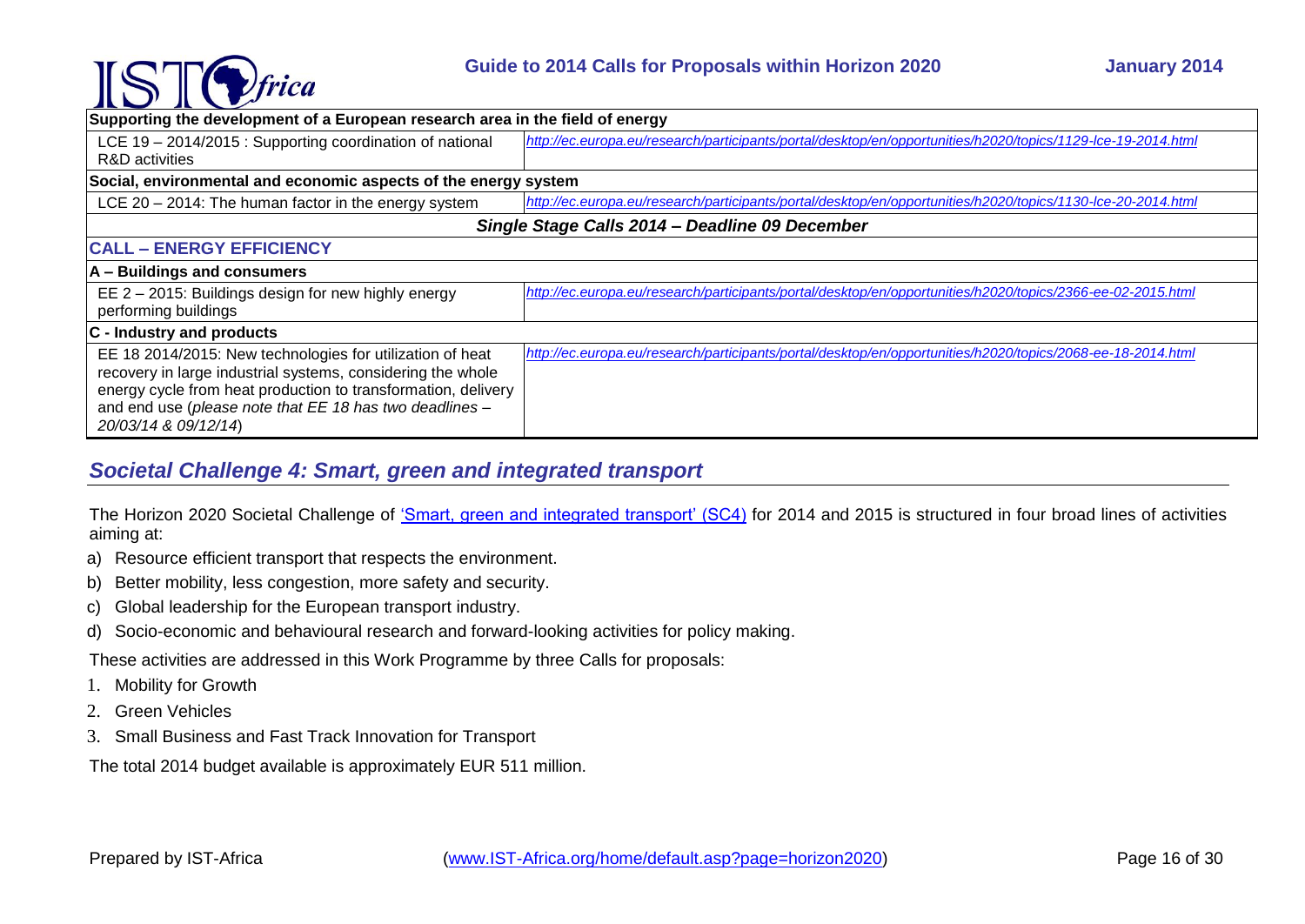

| $\sim$ $\sim$                                                                   |                                                                                                              |  |
|---------------------------------------------------------------------------------|--------------------------------------------------------------------------------------------------------------|--|
| Supporting the development of a European research area in the field of energy   |                                                                                                              |  |
| LCE 19 - 2014/2015 : Supporting coordination of national                        | http://ec.europa.eu/research/participants/portal/desktop/en/opportunities/h2020/topics/1129-lce-19-2014.html |  |
| R&D activities                                                                  |                                                                                                              |  |
| Social, environmental and economic aspects of the energy system                 |                                                                                                              |  |
| LCE $20 - 2014$ : The human factor in the energy system                         | http://ec.europa.eu/research/participants/portal/desktop/en/opportunities/h2020/topics/1130-lce-20-2014.html |  |
| Single Stage Calls 2014 - Deadline 09 December                                  |                                                                                                              |  |
| <b>CALL - ENERGY EFFICIENCY</b>                                                 |                                                                                                              |  |
| A - Buildings and consumers                                                     |                                                                                                              |  |
| EE 2 - 2015: Buildings design for new highly energy                             | http://ec.europa.eu/research/participants/portal/desktop/en/opportunities/h2020/topics/2366-ee-02-2015.html  |  |
| performing buildings                                                            |                                                                                                              |  |
| $ C -$ Industry and products                                                    |                                                                                                              |  |
| EE 18 2014/2015: New technologies for utilization of heat                       | http://ec.europa.eu/research/participants/portal/desktop/en/opportunities/h2020/topics/2068-ee-18-2014.html  |  |
| recovery in large industrial systems, considering the whole                     |                                                                                                              |  |
| energy cycle from heat production to transformation, delivery                   |                                                                                                              |  |
| and end use (please note that EE 18 has two deadlines -<br>20/03/14 & 09/12/14) |                                                                                                              |  |
|                                                                                 |                                                                                                              |  |

### <span id="page-15-0"></span>*Societal Challenge 4: Smart, green and integrated transport*

The Horizon 2020 Societal Challenge of ['Smart, green and integrated](http://ec.europa.eu/programmes/horizon2020/en/h2020-section/smart-green-and-integrated-transport) transport' (SC4) for 2014 and 2015 is structured in four broad lines of activities aiming at:

- a) Resource efficient transport that respects the environment.
- b) Better mobility, less congestion, more safety and security.
- c) Global leadership for the European transport industry.
- d) Socio-economic and behavioural research and forward-looking activities for policy making.

These activities are addressed in this Work Programme by three Calls for proposals:

- 1. Mobility for Growth
- 2. Green Vehicles
- 3. Small Business and Fast Track Innovation for Transport

The total 2014 budget available is approximately EUR 511 million.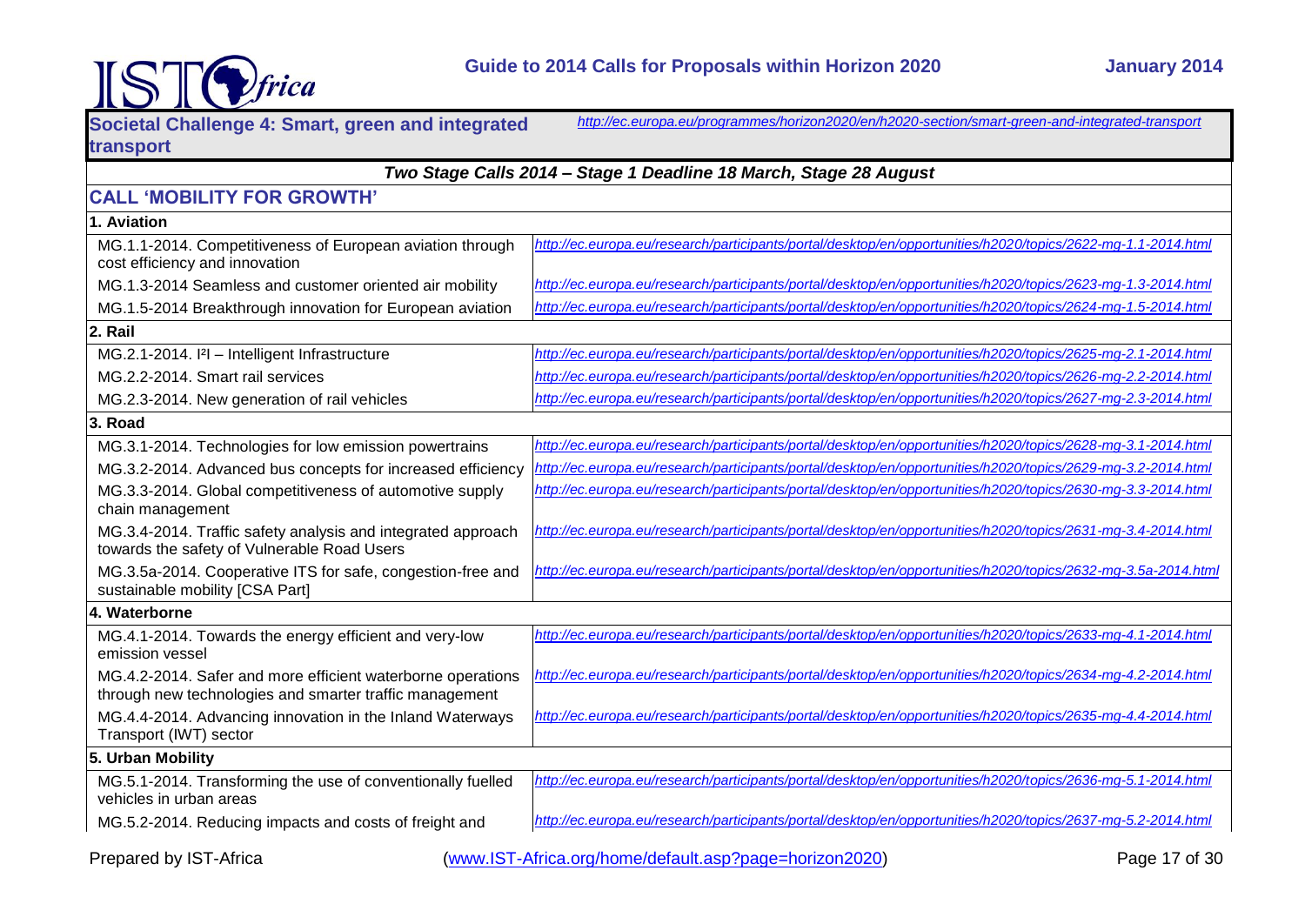

| Societal Challenge 4: Smart, green and integrated                                                                      | http://ec.europa.eu/programmes/horizon2020/en/h2020-section/smart-green-and-integrated-transport              |  |
|------------------------------------------------------------------------------------------------------------------------|---------------------------------------------------------------------------------------------------------------|--|
| transport                                                                                                              |                                                                                                               |  |
|                                                                                                                        | Two Stage Calls 2014 - Stage 1 Deadline 18 March, Stage 28 August                                             |  |
| <b>CALL 'MOBILITY FOR GROWTH'</b>                                                                                      |                                                                                                               |  |
| 1. Aviation                                                                                                            |                                                                                                               |  |
| MG.1.1-2014. Competitiveness of European aviation through<br>cost efficiency and innovation                            | http://ec.europa.eu/research/participants/portal/desktop/en/opportunities/h2020/topics/2622-mq-1.1-2014.html  |  |
| MG.1.3-2014 Seamless and customer oriented air mobility                                                                | http://ec.europa.eu/research/participants/portal/desktop/en/opportunities/h2020/topics/2623-mq-1.3-2014.html  |  |
| MG.1.5-2014 Breakthrough innovation for European aviation                                                              | http://ec.europa.eu/research/participants/portal/desktop/en/opportunities/h2020/topics/2624-mg-1.5-2014.html  |  |
| 2. Rail                                                                                                                |                                                                                                               |  |
| MG.2.1-2014.  2  - Intelligent Infrastructure                                                                          | http://ec.europa.eu/research/participants/portal/desktop/en/opportunities/h2020/topics/2625-mq-2.1-2014.html  |  |
| MG.2.2-2014. Smart rail services                                                                                       | http://ec.europa.eu/research/participants/portal/desktop/en/opportunities/h2020/topics/2626-mq-2.2-2014.html  |  |
| MG.2.3-2014. New generation of rail vehicles                                                                           | http://ec.europa.eu/research/participants/portal/desktop/en/opportunities/h2020/topics/2627-mq-2.3-2014.html  |  |
| 3. Road                                                                                                                |                                                                                                               |  |
| MG.3.1-2014. Technologies for low emission powertrains                                                                 | http://ec.europa.eu/research/participants/portal/desktop/en/opportunities/h2020/topics/2628-mq-3.1-2014.html  |  |
| MG.3.2-2014. Advanced bus concepts for increased efficiency                                                            | http://ec.europa.eu/research/participants/portal/desktop/en/opportunities/h2020/topics/2629-mq-3.2-2014.html  |  |
| MG.3.3-2014. Global competitiveness of automotive supply<br>chain management                                           | http://ec.europa.eu/research/participants/portal/desktop/en/opportunities/h2020/topics/2630-mq-3.3-2014.html  |  |
| MG.3.4-2014. Traffic safety analysis and integrated approach<br>towards the safety of Vulnerable Road Users            | http://ec.europa.eu/research/participants/portal/desktop/en/opportunities/h2020/topics/2631-mg-3.4-2014.html  |  |
| MG.3.5a-2014. Cooperative ITS for safe, congestion-free and<br>sustainable mobility [CSA Part]                         | http://ec.europa.eu/research/participants/portal/desktop/en/opportunities/h2020/topics/2632-mq-3.5a-2014.html |  |
| 4. Waterborne                                                                                                          |                                                                                                               |  |
| MG.4.1-2014. Towards the energy efficient and very-low<br>emission vessel                                              | http://ec.europa.eu/research/participants/portal/desktop/en/opportunities/h2020/topics/2633-mq-4.1-2014.html  |  |
| MG.4.2-2014. Safer and more efficient waterborne operations<br>through new technologies and smarter traffic management | http://ec.europa.eu/research/participants/portal/desktop/en/opportunities/h2020/topics/2634-mq-4.2-2014.html  |  |
| MG.4.4-2014. Advancing innovation in the Inland Waterways<br>Transport (IWT) sector                                    | http://ec.europa.eu/research/participants/portal/desktop/en/opportunities/h2020/topics/2635-mg-4.4-2014.html  |  |
| 5. Urban Mobility                                                                                                      |                                                                                                               |  |
| MG.5.1-2014. Transforming the use of conventionally fuelled<br>vehicles in urban areas                                 | http://ec.europa.eu/research/participants/portal/desktop/en/opportunities/h2020/topics/2636-mq-5.1-2014.html  |  |
| MG.5.2-2014. Reducing impacts and costs of freight and                                                                 | http://ec.europa.eu/research/participants/portal/desktop/en/opportunities/h2020/topics/2637-mg-5.2-2014.html  |  |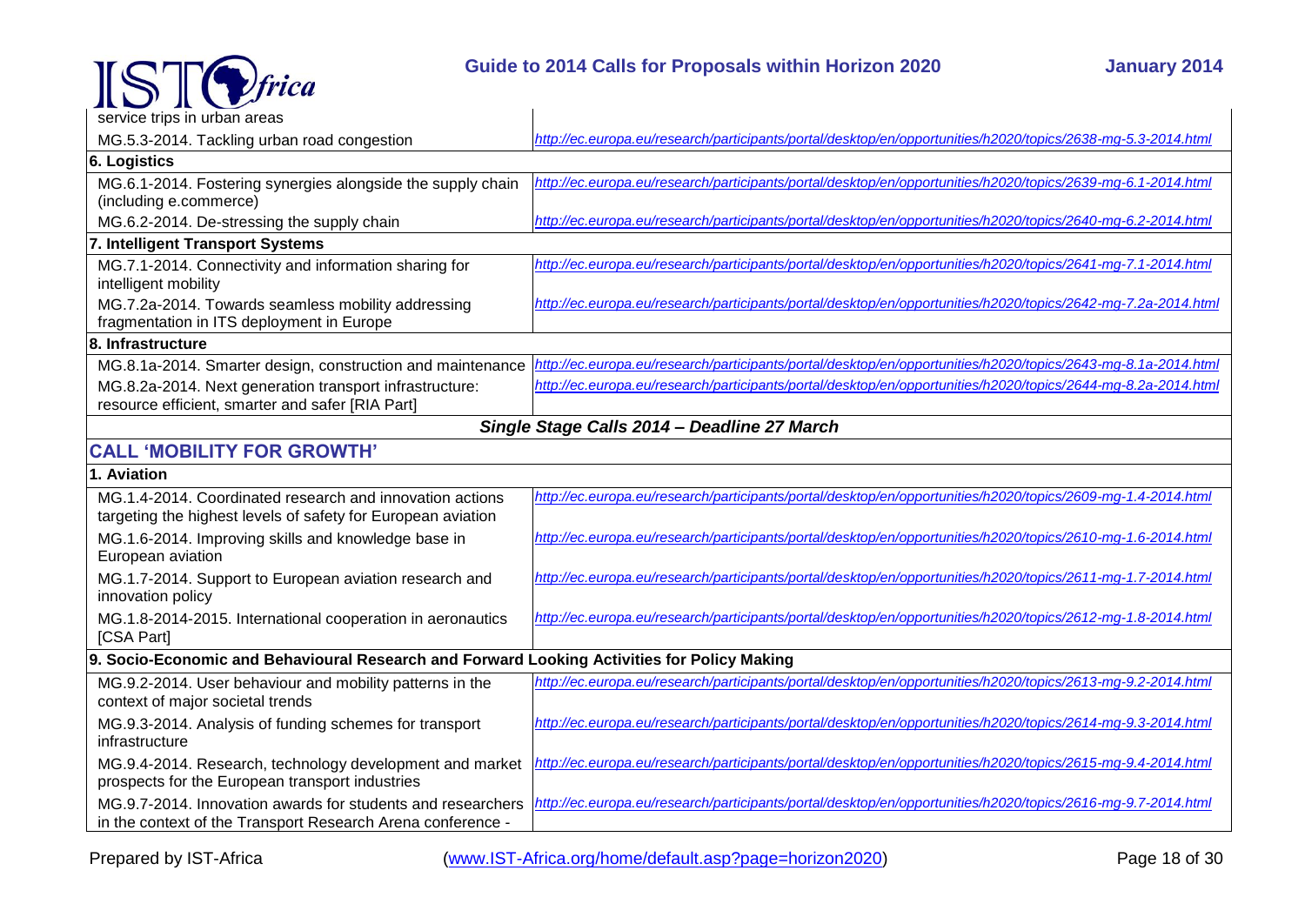

| service trips in urban areas                                                                                               |                                                                                                               |  |
|----------------------------------------------------------------------------------------------------------------------------|---------------------------------------------------------------------------------------------------------------|--|
| MG.5.3-2014. Tackling urban road congestion                                                                                | http://ec.europa.eu/research/participants/portal/desktop/en/opportunities/h2020/topics/2638-mq-5.3-2014.html  |  |
| <b>6. Logistics</b>                                                                                                        |                                                                                                               |  |
| MG.6.1-2014. Fostering synergies alongside the supply chain                                                                | http://ec.europa.eu/research/participants/portal/desktop/en/opportunities/h2020/topics/2639-mq-6.1-2014.html  |  |
| (including e.commerce)                                                                                                     |                                                                                                               |  |
| MG.6.2-2014. De-stressing the supply chain                                                                                 | http://ec.europa.eu/research/participants/portal/desktop/en/opportunities/h2020/topics/2640-mq-6.2-2014.html  |  |
| 7. Intelligent Transport Systems                                                                                           |                                                                                                               |  |
| MG.7.1-2014. Connectivity and information sharing for<br>intelligent mobility                                              | http://ec.europa.eu/research/participants/portal/desktop/en/opportunities/h2020/topics/2641-mq-7.1-2014.html  |  |
| MG.7.2a-2014. Towards seamless mobility addressing<br>fragmentation in ITS deployment in Europe                            | http://ec.europa.eu/research/participants/portal/desktop/en/opportunities/h2020/topics/2642-mq-7.2a-2014.html |  |
| 8. Infrastructure                                                                                                          |                                                                                                               |  |
| MG.8.1a-2014. Smarter design, construction and maintenance                                                                 | http://ec.europa.eu/research/participants/portal/desktop/en/opportunities/h2020/topics/2643-mq-8.1a-2014.html |  |
| MG.8.2a-2014. Next generation transport infrastructure:                                                                    | http://ec.europa.eu/research/participants/portal/desktop/en/opportunities/h2020/topics/2644-mq-8.2a-2014.html |  |
| resource efficient, smarter and safer [RIA Part]                                                                           |                                                                                                               |  |
| Single Stage Calls 2014 - Deadline 27 March                                                                                |                                                                                                               |  |
| <b>CALL 'MOBILITY FOR GROWTH'</b>                                                                                          |                                                                                                               |  |
| 1. Aviation                                                                                                                |                                                                                                               |  |
| MG.1.4-2014. Coordinated research and innovation actions<br>targeting the highest levels of safety for European aviation   | http://ec.europa.eu/research/participants/portal/desktop/en/opportunities/h2020/topics/2609-mq-1.4-2014.html  |  |
| MG.1.6-2014. Improving skills and knowledge base in<br>European aviation                                                   | http://ec.europa.eu/research/participants/portal/desktop/en/opportunities/h2020/topics/2610-mq-1.6-2014.html  |  |
| MG.1.7-2014. Support to European aviation research and<br>innovation policy                                                | http://ec.europa.eu/research/participants/portal/desktop/en/opportunities/h2020/topics/2611-mg-1.7-2014.html  |  |
| MG.1.8-2014-2015. International cooperation in aeronautics<br>[CSA Part]                                                   | http://ec.europa.eu/research/participants/portal/desktop/en/opportunities/h2020/topics/2612-mq-1.8-2014.html  |  |
| 9. Socio-Economic and Behavioural Research and Forward Looking Activities for Policy Making                                |                                                                                                               |  |
| MG.9.2-2014. User behaviour and mobility patterns in the<br>context of major societal trends                               | http://ec.europa.eu/research/participants/portal/desktop/en/opportunities/h2020/topics/2613-mq-9.2-2014.html  |  |
| MG.9.3-2014. Analysis of funding schemes for transport<br>infrastructure                                                   | http://ec.europa.eu/research/participants/portal/desktop/en/opportunities/h2020/topics/2614-mg-9.3-2014.html  |  |
| MG.9.4-2014. Research, technology development and market<br>prospects for the European transport industries                | http://ec.europa.eu/research/participants/portal/desktop/en/opportunities/h2020/topics/2615-mg-9.4-2014.html  |  |
| MG.9.7-2014. Innovation awards for students and researchers<br>in the context of the Transport Research Arena conference - | http://ec.europa.eu/research/participants/portal/desktop/en/opportunities/h2020/topics/2616-mq-9.7-2014.html  |  |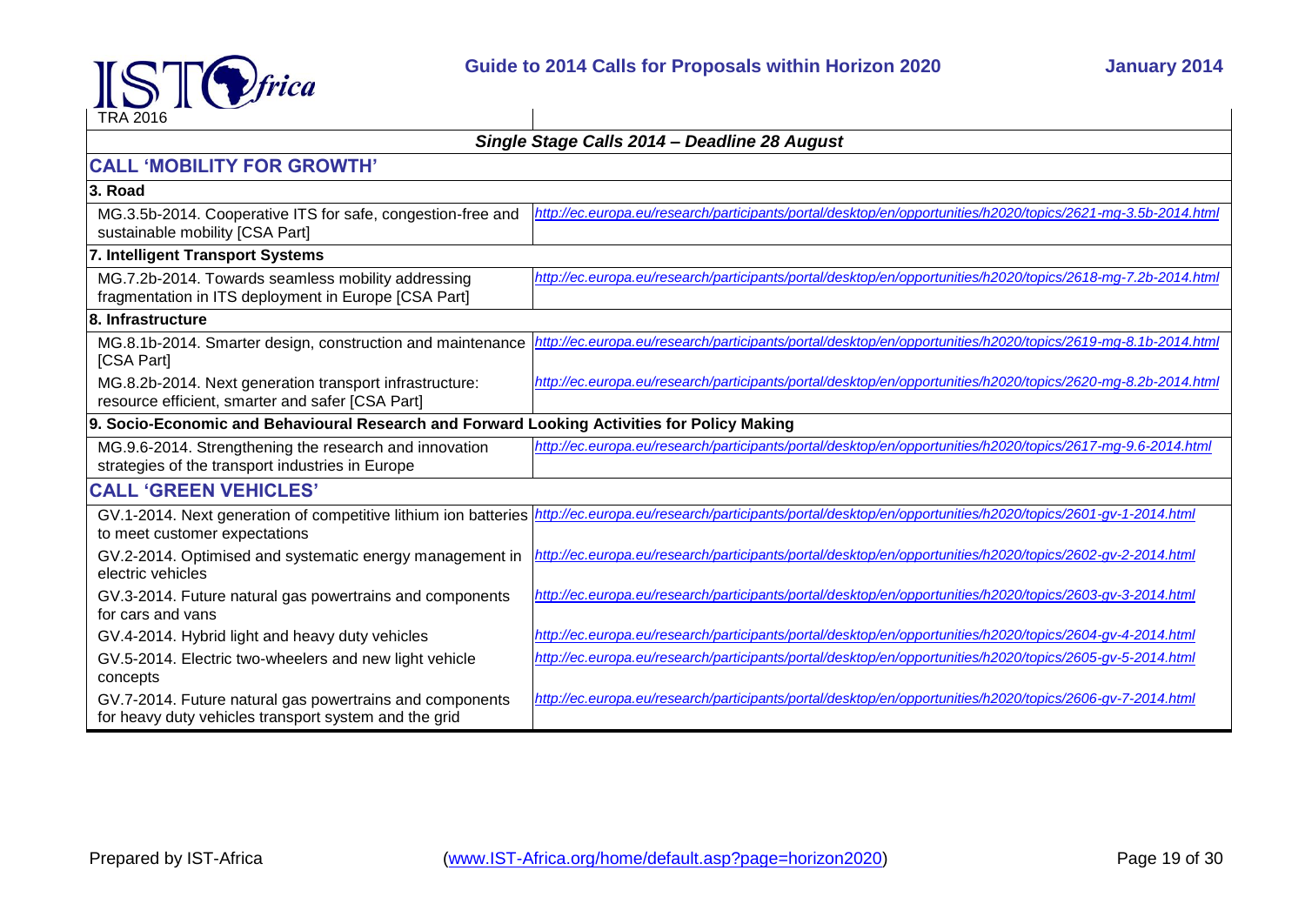

| $\sim$<br><b>TRA 2016</b>                                                                                         |                                                                                                               |  |
|-------------------------------------------------------------------------------------------------------------------|---------------------------------------------------------------------------------------------------------------|--|
|                                                                                                                   | Single Stage Calls 2014 - Deadline 28 August                                                                  |  |
| <b>CALL 'MOBILITY FOR GROWTH'</b>                                                                                 |                                                                                                               |  |
| 3. Road                                                                                                           |                                                                                                               |  |
| MG.3.5b-2014. Cooperative ITS for safe, congestion-free and<br>sustainable mobility [CSA Part]                    | http://ec.europa.eu/research/participants/portal/desktop/en/opportunities/h2020/topics/2621-mg-3.5b-2014.html |  |
| 7. Intelligent Transport Systems                                                                                  |                                                                                                               |  |
| MG.7.2b-2014. Towards seamless mobility addressing<br>fragmentation in ITS deployment in Europe [CSA Part]        | http://ec.europa.eu/research/participants/portal/desktop/en/opportunities/h2020/topics/2618-mg-7.2b-2014.html |  |
| 8. Infrastructure                                                                                                 |                                                                                                               |  |
| MG.8.1b-2014. Smarter design, construction and maintenance<br>[CSA Part]                                          | http://ec.europa.eu/research/participants/portal/desktop/en/opportunities/h2020/topics/2619-mg-8.1b-2014.html |  |
| MG.8.2b-2014. Next generation transport infrastructure:<br>resource efficient, smarter and safer [CSA Part]       | http://ec.europa.eu/research/participants/portal/desktop/en/opportunities/h2020/topics/2620-mg-8.2b-2014.html |  |
| 9. Socio-Economic and Behavioural Research and Forward Looking Activities for Policy Making                       |                                                                                                               |  |
| MG.9.6-2014. Strengthening the research and innovation<br>strategies of the transport industries in Europe        | http://ec.europa.eu/research/participants/portal/desktop/en/opportunities/h2020/topics/2617-mq-9.6-2014.html  |  |
| <b>CALL 'GREEN VEHICLES'</b>                                                                                      |                                                                                                               |  |
| GV.1-2014. Next generation of competitive lithium ion batteries<br>to meet customer expectations                  | http://ec.europa.eu/research/participants/portal/desktop/en/opportunities/h2020/topics/2601-gv-1-2014.html    |  |
| GV.2-2014. Optimised and systematic energy management in<br>electric vehicles                                     | http://ec.europa.eu/research/participants/portal/desktop/en/opportunities/h2020/topics/2602-gv-2-2014.html    |  |
| GV.3-2014. Future natural gas powertrains and components<br>for cars and vans                                     | http://ec.europa.eu/research/participants/portal/desktop/en/opportunities/h2020/topics/2603-gv-3-2014.html    |  |
| GV.4-2014. Hybrid light and heavy duty vehicles                                                                   | http://ec.europa.eu/research/participants/portal/desktop/en/opportunities/h2020/topics/2604-gv-4-2014.html    |  |
| GV.5-2014. Electric two-wheelers and new light vehicle<br>concepts                                                | http://ec.europa.eu/research/participants/portal/desktop/en/opportunities/h2020/topics/2605-gv-5-2014.html    |  |
| GV.7-2014. Future natural gas powertrains and components<br>for heavy duty vehicles transport system and the grid | http://ec.europa.eu/research/participants/portal/desktop/en/opportunities/h2020/topics/2606-gv-7-2014.html    |  |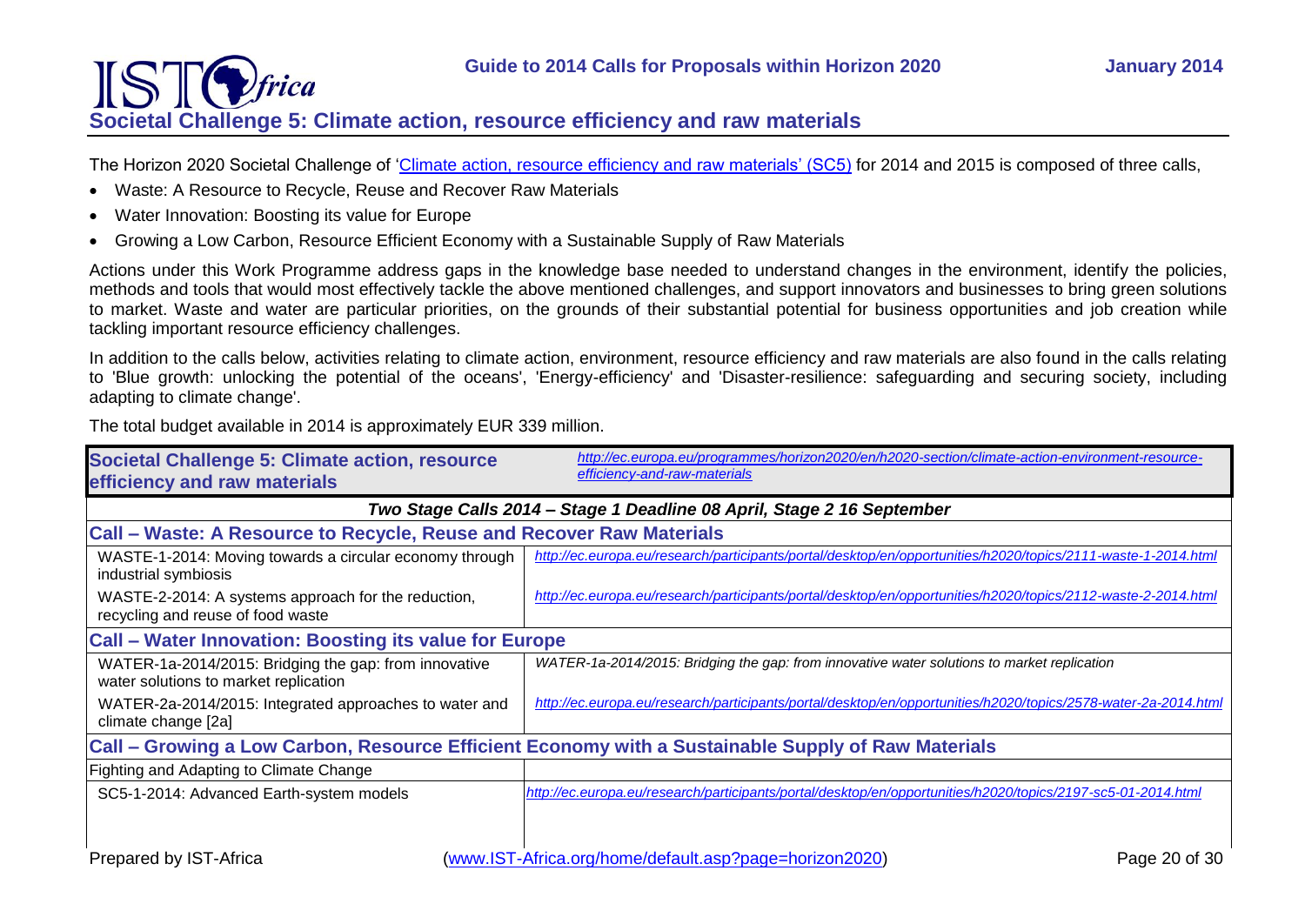### IST *<u>frica</u>* **Societal Challenge 5: Climate action, resource efficiency and raw materials**

<span id="page-19-0"></span>The Horizon 2020 Societal Challenge of ['Climate action, resource efficiency and raw materials' \(SC5\)](http://ec.europa.eu/programmes/horizon2020/en/h2020-section/climate-action-environment-resource-efficiency-and-raw-materials) for 2014 and 2015 is composed of three calls,

- Waste: A Resource to Recycle, Reuse and Recover Raw Materials
- Water Innovation: Boosting its value for Europe
- Growing a Low Carbon, Resource Efficient Economy with a Sustainable Supply of Raw Materials

Actions under this Work Programme address gaps in the knowledge base needed to understand changes in the environment, identify the policies, methods and tools that would most effectively tackle the above mentioned challenges, and support innovators and businesses to bring green solutions to market. Waste and water are particular priorities, on the grounds of their substantial potential for business opportunities and job creation while tackling important resource efficiency challenges.

In addition to the calls below, activities relating to climate action, environment, resource efficiency and raw materials are also found in the calls relating to 'Blue growth: unlocking the potential of the oceans', 'Energy-efficiency' and 'Disaster-resilience: safeguarding and securing society, including adapting to climate change'.

The total budget available in 2014 is approximately EUR 339 million.

| <b>Societal Challenge 5: Climate action, resource</b><br>efficiency and raw materials              | http://ec.europa.eu/programmes/horizon2020/en/h2020-section/climate-action-environment-resource-<br>efficiency-and-raw-materials |  |
|----------------------------------------------------------------------------------------------------|----------------------------------------------------------------------------------------------------------------------------------|--|
|                                                                                                    | Two Stage Calls 2014 - Stage 1 Deadline 08 April, Stage 2 16 September                                                           |  |
| Call – Waste: A Resource to Recycle, Reuse and Recover Raw Materials                               |                                                                                                                                  |  |
| WASTE-1-2014: Moving towards a circular economy through<br>industrial symbiosis                    | http://ec.europa.eu/research/participants/portal/desktop/en/opportunities/h2020/topics/2111-waste-1-2014.html                    |  |
| WASTE-2-2014: A systems approach for the reduction,<br>recycling and reuse of food waste           | http://ec.europa.eu/research/participants/portal/desktop/en/opportunities/h2020/topics/2112-waste-2-2014.html                    |  |
| <b>Call - Water Innovation: Boosting its value for Europe</b>                                      |                                                                                                                                  |  |
| WATER-1a-2014/2015: Bridging the gap: from innovative<br>water solutions to market replication     | WATER-1a-2014/2015: Bridging the gap: from innovative water solutions to market replication                                      |  |
| WATER-2a-2014/2015: Integrated approaches to water and<br>climate change [2a]                      | http://ec.europa.eu/research/participants/portal/desktop/en/opportunities/h2020/topics/2578-water-2a-2014.html                   |  |
| Call – Growing a Low Carbon, Resource Efficient Economy with a Sustainable Supply of Raw Materials |                                                                                                                                  |  |
| Fighting and Adapting to Climate Change                                                            |                                                                                                                                  |  |
| SC5-1-2014: Advanced Earth-system models                                                           | http://ec.europa.eu/research/participants/portal/desktop/en/opportunities/h2020/topics/2197-sc5-01-2014.html                     |  |
| Prepared by IST-Africa                                                                             | (www.IST-Africa.org/home/default.asp?page=horizon2020)<br>Page 20 of 30                                                          |  |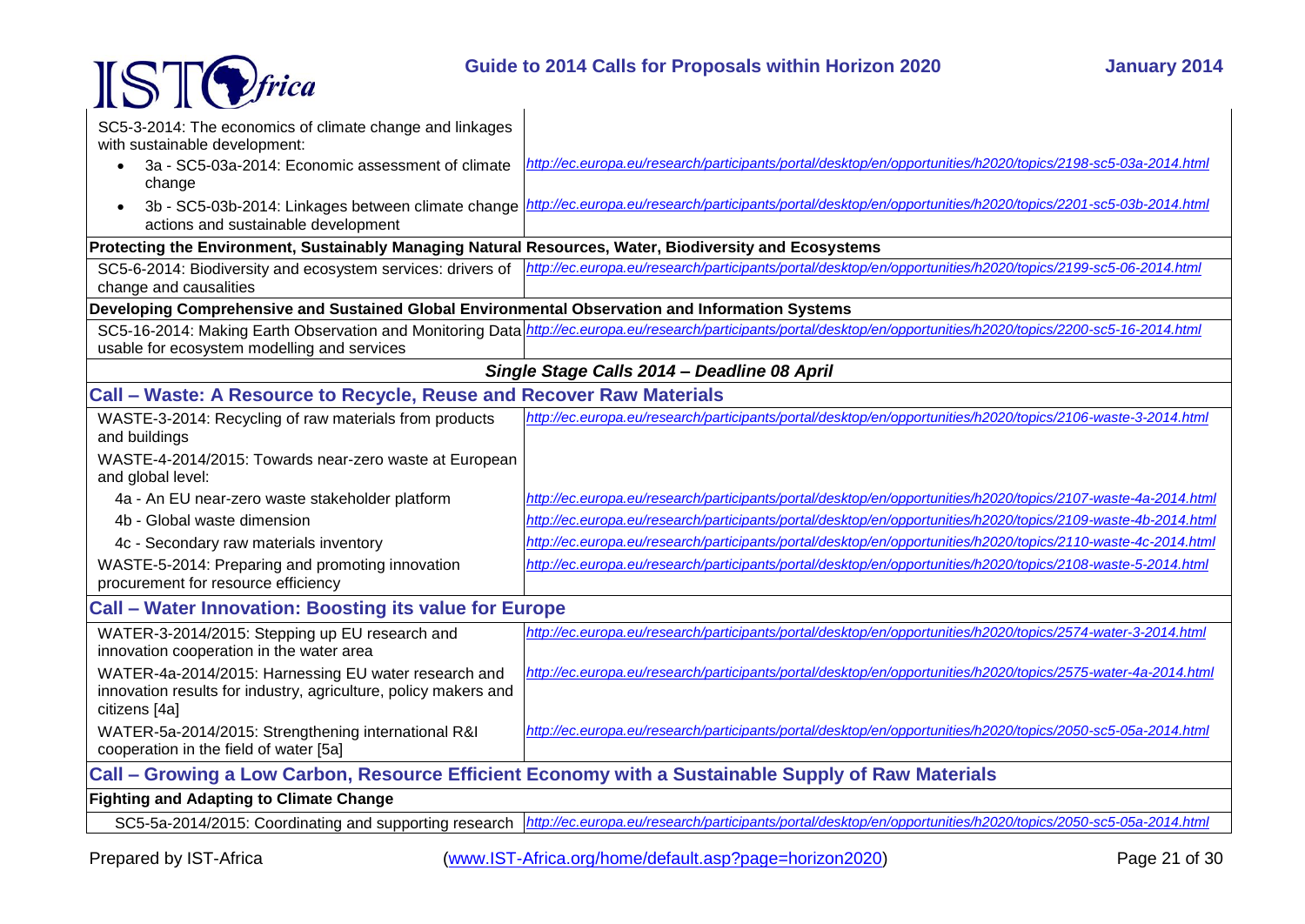



| SC5-3-2014: The economics of climate change and linkages<br>with sustainable development:<br>3a - SC5-03a-2014: Economic assessment of climate<br>change<br>3b - SC5-03b-2014: Linkages between climate change<br>actions and sustainable development | http://ec.europa.eu/research/participants/portal/desktop/en/opportunities/h2020/topics/2198-sc5-03a-2014.html<br>http://ec.europa.eu/research/participants/portal/desktop/en/opportunities/h2020/topics/2201-sc5-03b-2014.html |  |
|-------------------------------------------------------------------------------------------------------------------------------------------------------------------------------------------------------------------------------------------------------|--------------------------------------------------------------------------------------------------------------------------------------------------------------------------------------------------------------------------------|--|
| Protecting the Environment, Sustainably Managing Natural Resources, Water, Biodiversity and Ecosystems                                                                                                                                                |                                                                                                                                                                                                                                |  |
| SC5-6-2014: Biodiversity and ecosystem services: drivers of<br>change and causalities                                                                                                                                                                 | http://ec.europa.eu/research/participants/portal/desktop/en/opportunities/h2020/topics/2199-sc5-06-2014.html                                                                                                                   |  |
| Developing Comprehensive and Sustained Global Environmental Observation and Information Systems                                                                                                                                                       |                                                                                                                                                                                                                                |  |
| usable for ecosystem modelling and services                                                                                                                                                                                                           | SC5-16-2014: Making Earth Observation and Monitoring Data http://ec.europa.eu/research/participants/portal/desktop/en/opportunities/h2020/topics/2200-sc5-16-2014.html                                                         |  |
|                                                                                                                                                                                                                                                       | Single Stage Calls 2014 - Deadline 08 April                                                                                                                                                                                    |  |
| Call – Waste: A Resource to Recycle, Reuse and Recover Raw Materials                                                                                                                                                                                  |                                                                                                                                                                                                                                |  |
| WASTE-3-2014: Recycling of raw materials from products<br>and buildings                                                                                                                                                                               | http://ec.europa.eu/research/participants/portal/desktop/en/opportunities/h2020/topics/2106-waste-3-2014.html                                                                                                                  |  |
| WASTE-4-2014/2015: Towards near-zero waste at European<br>and global level:                                                                                                                                                                           |                                                                                                                                                                                                                                |  |
| 4a - An EU near-zero waste stakeholder platform                                                                                                                                                                                                       | http://ec.europa.eu/research/participants/portal/desktop/en/opportunities/h2020/topics/2107-waste-4a-2014.html                                                                                                                 |  |
| 4b - Global waste dimension                                                                                                                                                                                                                           | http://ec.europa.eu/research/participants/portal/desktop/en/opportunities/h2020/topics/2109-waste-4b-2014.html                                                                                                                 |  |
| 4c - Secondary raw materials inventory                                                                                                                                                                                                                | http://ec.europa.eu/research/participants/portal/desktop/en/opportunities/h2020/topics/2110-waste-4c-2014.html                                                                                                                 |  |
| WASTE-5-2014: Preparing and promoting innovation<br>procurement for resource efficiency                                                                                                                                                               | http://ec.europa.eu/research/participants/portal/desktop/en/opportunities/h2020/topics/2108-waste-5-2014.html                                                                                                                  |  |
| <b>Call – Water Innovation: Boosting its value for Europe</b>                                                                                                                                                                                         |                                                                                                                                                                                                                                |  |
| WATER-3-2014/2015: Stepping up EU research and<br>innovation cooperation in the water area                                                                                                                                                            | http://ec.europa.eu/research/participants/portal/desktop/en/opportunities/h2020/topics/2574-water-3-2014.html                                                                                                                  |  |
| WATER-4a-2014/2015: Harnessing EU water research and<br>innovation results for industry, agriculture, policy makers and<br>citizens [4a]                                                                                                              | http://ec.europa.eu/research/participants/portal/desktop/en/opportunities/h2020/topics/2575-water-4a-2014.html                                                                                                                 |  |
| WATER-5a-2014/2015: Strengthening international R&I<br>cooperation in the field of water [5a]                                                                                                                                                         | http://ec.europa.eu/research/participants/portal/desktop/en/opportunities/h2020/topics/2050-sc5-05a-2014.html                                                                                                                  |  |
|                                                                                                                                                                                                                                                       | Call – Growing a Low Carbon, Resource Efficient Economy with a Sustainable Supply of Raw Materials                                                                                                                             |  |
| <b>Fighting and Adapting to Climate Change</b>                                                                                                                                                                                                        |                                                                                                                                                                                                                                |  |
| SC5-5a-2014/2015: Coordinating and supporting research                                                                                                                                                                                                | http://ec.europa.eu/research/participants/portal/desktop/en/opportunities/h2020/topics/2050-sc5-05a-2014.html                                                                                                                  |  |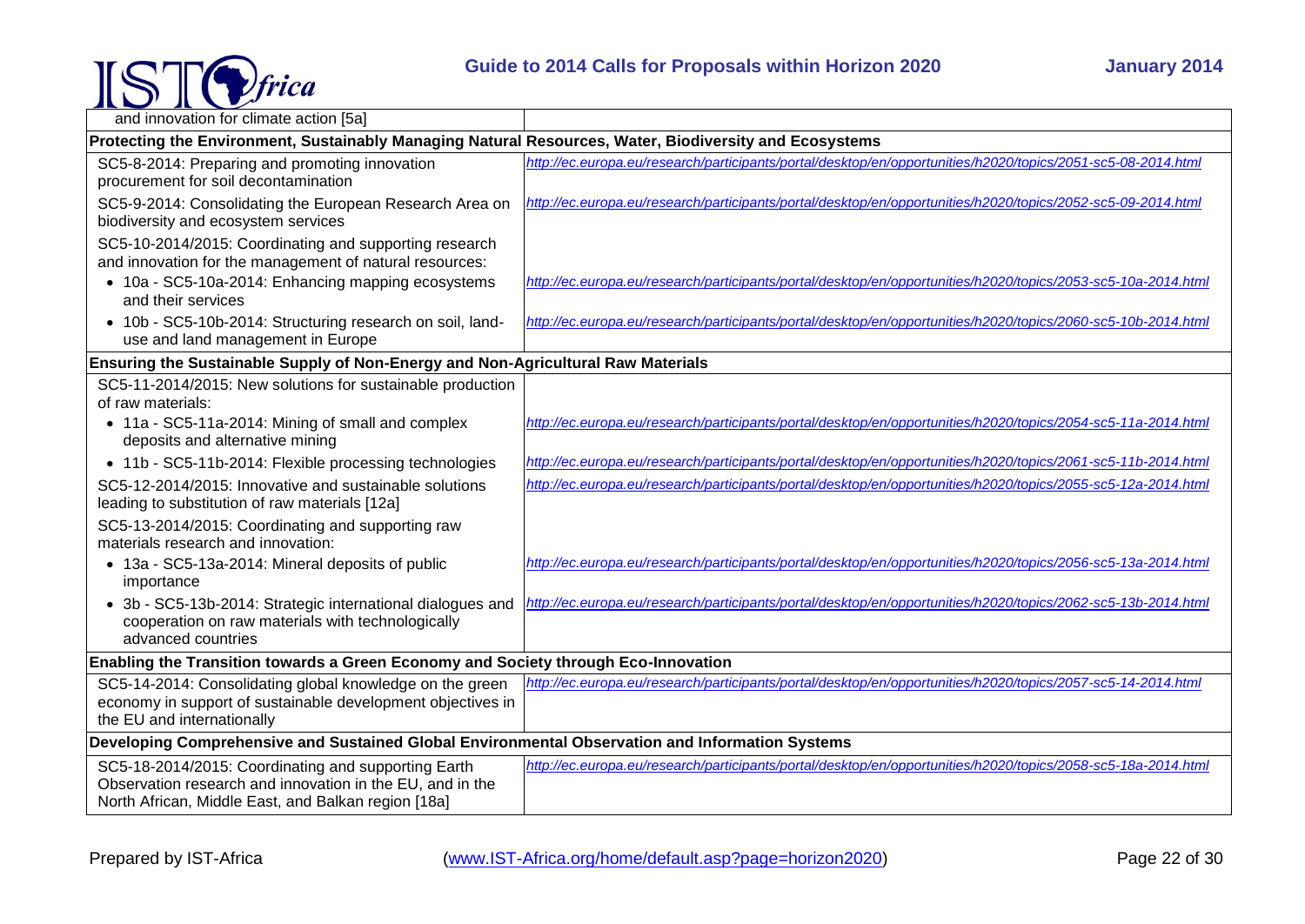

|                                                                                                                                                                         | Guide to 2014 Calls for Proposals within Horizon 2020<br><b>January 2014</b>                                  |
|-------------------------------------------------------------------------------------------------------------------------------------------------------------------------|---------------------------------------------------------------------------------------------------------------|
| and innovation for climate action [5a]                                                                                                                                  |                                                                                                               |
| Protecting the Environment, Sustainably Managing Natural Resources, Water, Biodiversity and Ecosystems                                                                  |                                                                                                               |
| SC5-8-2014: Preparing and promoting innovation<br>procurement for soil decontamination                                                                                  | http://ec.europa.eu/research/participants/portal/desktop/en/opportunities/h2020/topics/2051-sc5-08-2014.html  |
| SC5-9-2014: Consolidating the European Research Area on<br>biodiversity and ecosystem services                                                                          | http://ec.europa.eu/research/participants/portal/desktop/en/opportunities/h2020/topics/2052-sc5-09-2014.html  |
| SC5-10-2014/2015: Coordinating and supporting research<br>and innovation for the management of natural resources:                                                       |                                                                                                               |
| • 10a - SC5-10a-2014: Enhancing mapping ecosystems<br>and their services                                                                                                | http://ec.europa.eu/research/participants/portal/desktop/en/opportunities/h2020/topics/2053-sc5-10a-2014.html |
| • 10b - SC5-10b-2014: Structuring research on soil, land-<br>use and land management in Europe                                                                          | http://ec.europa.eu/research/participants/portal/desktop/en/opportunities/h2020/topics/2060-sc5-10b-2014.html |
| Ensuring the Sustainable Supply of Non-Energy and Non-Agricultural Raw Materials                                                                                        |                                                                                                               |
| SC5-11-2014/2015: New solutions for sustainable production<br>of raw materials:                                                                                         |                                                                                                               |
| • 11a - SC5-11a-2014: Mining of small and complex<br>deposits and alternative mining                                                                                    | http://ec.europa.eu/research/participants/portal/desktop/en/opportunities/h2020/topics/2054-sc5-11a-2014.html |
| • 11b - SC5-11b-2014: Flexible processing technologies                                                                                                                  | http://ec.europa.eu/research/participants/portal/desktop/en/opportunities/h2020/topics/2061-sc5-11b-2014.html |
| SC5-12-2014/2015: Innovative and sustainable solutions<br>leading to substitution of raw materials [12a]                                                                | http://ec.europa.eu/research/participants/portal/desktop/en/opportunities/h2020/topics/2055-sc5-12a-2014.html |
| SC5-13-2014/2015: Coordinating and supporting raw<br>materials research and innovation:                                                                                 |                                                                                                               |
| • 13a - SC5-13a-2014: Mineral deposits of public<br>importance                                                                                                          | http://ec.europa.eu/research/participants/portal/desktop/en/opportunities/h2020/topics/2056-sc5-13a-2014.html |
| • 3b - SC5-13b-2014: Strategic international dialogues and<br>cooperation on raw materials with technologically<br>advanced countries                                   | http://ec.europa.eu/research/participants/portal/desktop/en/opportunities/h2020/topics/2062-sc5-13b-2014.html |
| Enabling the Transition towards a Green Economy and Society through Eco-Innovation                                                                                      |                                                                                                               |
| SC5-14-2014: Consolidating global knowledge on the green<br>economy in support of sustainable development objectives in<br>the EU and internationally                   | http://ec.europa.eu/research/participants/portal/desktop/en/opportunities/h2020/topics/2057-sc5-14-2014.html  |
| Developing Comprehensive and Sustained Global Environmental Observation and Information Systems                                                                         |                                                                                                               |
| SC5-18-2014/2015: Coordinating and supporting Earth<br>Observation research and innovation in the EU, and in the<br>North African, Middle East, and Balkan region [18a] | http://ec.europa.eu/research/participants/portal/desktop/en/opportunities/h2020/topics/2058-sc5-18a-2014.html |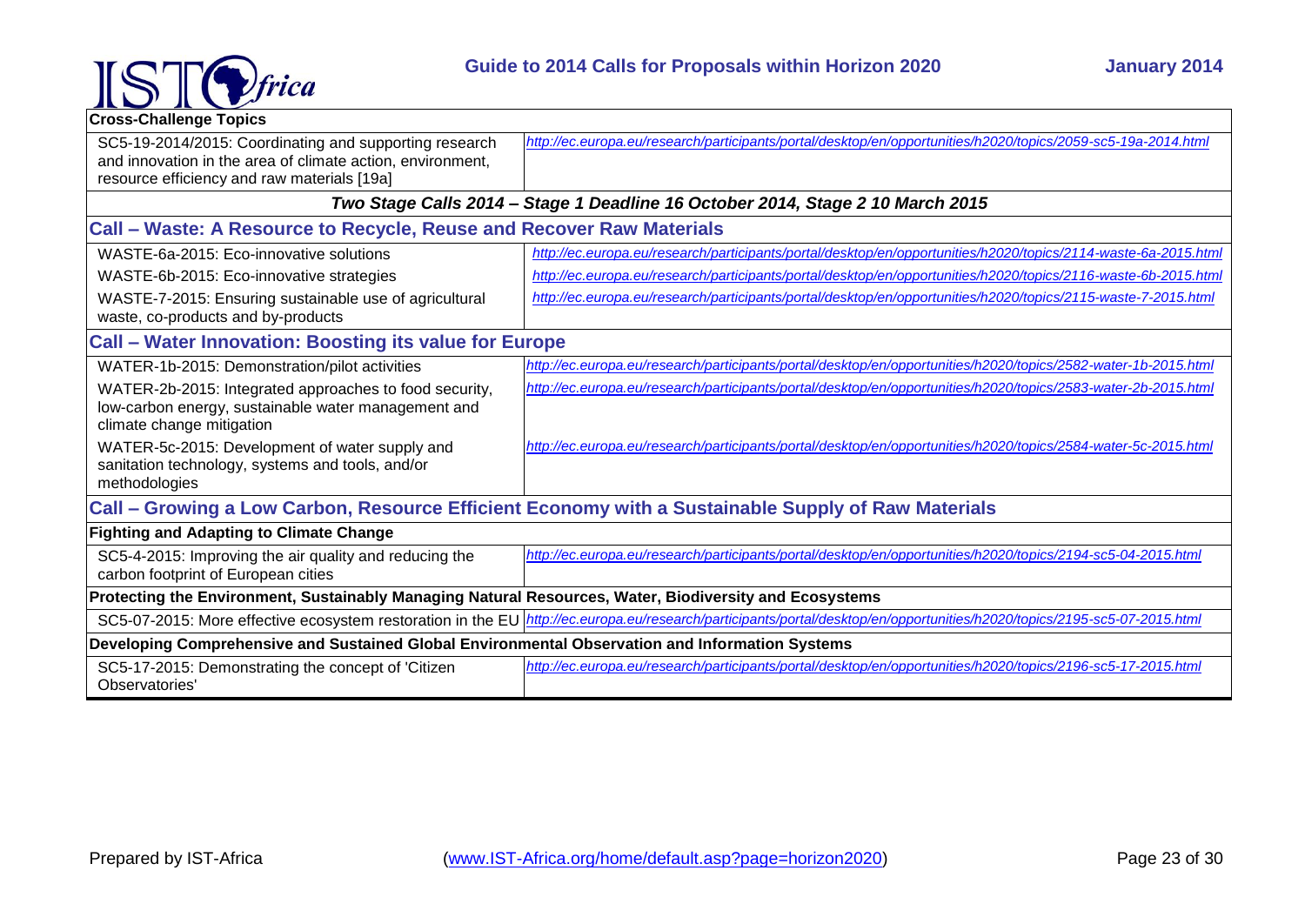

| <b>Cross-Challenge Topics</b>                                                                                                                                       |                                                                                                                                                                          |
|---------------------------------------------------------------------------------------------------------------------------------------------------------------------|--------------------------------------------------------------------------------------------------------------------------------------------------------------------------|
| SC5-19-2014/2015: Coordinating and supporting research<br>and innovation in the area of climate action, environment,<br>resource efficiency and raw materials [19a] | http://ec.europa.eu/research/participants/portal/desktop/en/opportunities/h2020/topics/2059-sc5-19a-2014.html                                                            |
|                                                                                                                                                                     | Two Stage Calls 2014 - Stage 1 Deadline 16 October 2014, Stage 2 10 March 2015                                                                                           |
| Call - Waste: A Resource to Recycle, Reuse and Recover Raw Materials                                                                                                |                                                                                                                                                                          |
| WASTE-6a-2015: Eco-innovative solutions                                                                                                                             | http://ec.europa.eu/research/participants/portal/desktop/en/opportunities/h2020/topics/2114-waste-6a-2015.html                                                           |
| WASTE-6b-2015: Eco-innovative strategies                                                                                                                            | http://ec.europa.eu/research/participants/portal/desktop/en/opportunities/h2020/topics/2116-waste-6b-2015.html                                                           |
| WASTE-7-2015: Ensuring sustainable use of agricultural<br>waste, co-products and by-products                                                                        | http://ec.europa.eu/research/participants/portal/desktop/en/opportunities/h2020/topics/2115-waste-7-2015.html                                                            |
| <b>Call - Water Innovation: Boosting its value for Europe</b>                                                                                                       |                                                                                                                                                                          |
| WATER-1b-2015: Demonstration/pilot activities                                                                                                                       | http://ec.europa.eu/research/participants/portal/desktop/en/opportunities/h2020/topics/2582-water-1b-2015.html                                                           |
| WATER-2b-2015: Integrated approaches to food security,<br>low-carbon energy, sustainable water management and<br>climate change mitigation                          | http://ec.europa.eu/research/participants/portal/desktop/en/opportunities/h2020/topics/2583-water-2b-2015.html                                                           |
| WATER-5c-2015: Development of water supply and<br>sanitation technology, systems and tools, and/or<br>methodologies                                                 | http://ec.europa.eu/research/participants/portal/desktop/en/opportunities/h2020/topics/2584-water-5c-2015.html                                                           |
| Call – Growing a Low Carbon, Resource Efficient Economy with a Sustainable Supply of Raw Materials                                                                  |                                                                                                                                                                          |
| <b>Fighting and Adapting to Climate Change</b>                                                                                                                      |                                                                                                                                                                          |
| SC5-4-2015: Improving the air quality and reducing the<br>carbon footprint of European cities                                                                       | http://ec.europa.eu/research/participants/portal/desktop/en/opportunities/h2020/topics/2194-sc5-04-2015.html                                                             |
| Protecting the Environment, Sustainably Managing Natural Resources, Water, Biodiversity and Ecosystems                                                              |                                                                                                                                                                          |
|                                                                                                                                                                     | SC5-07-2015: More effective ecosystem restoration in the EU http://ec.europa.eu/research/participants/portal/desktop/en/opportunities/h2020/topics/2195-sc5-07-2015.html |
| Developing Comprehensive and Sustained Global Environmental Observation and Information Systems                                                                     |                                                                                                                                                                          |
| SC5-17-2015: Demonstrating the concept of 'Citizen<br>Observatories'                                                                                                | http://ec.europa.eu/research/participants/portal/desktop/en/opportunities/h2020/topics/2196-sc5-17-2015.html                                                             |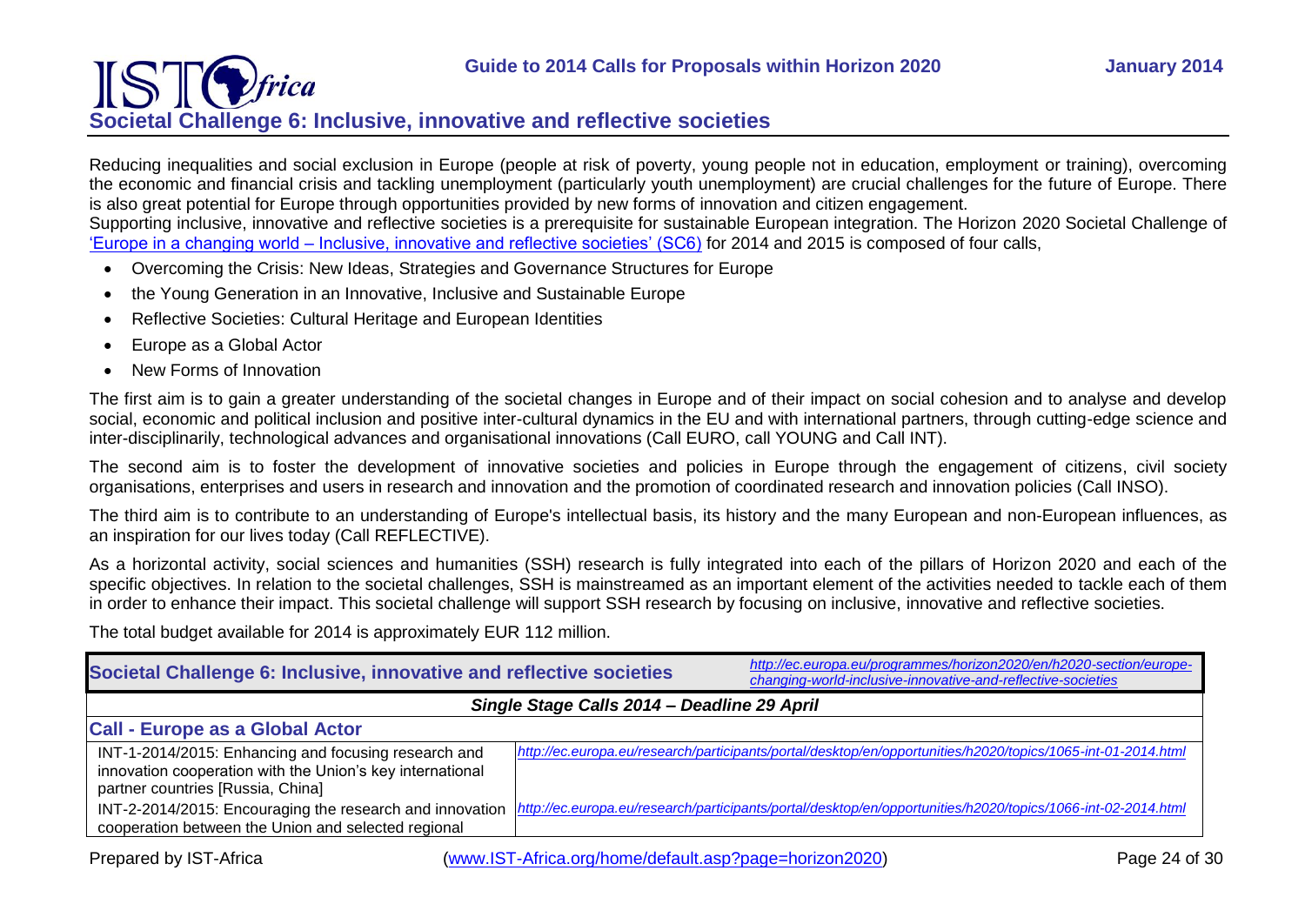# IS' **Societal Challenge 6: Inclusive, innovative and reflective societies**

<span id="page-23-0"></span>Reducing inequalities and social exclusion in Europe (people at risk of poverty, young people not in education, employment or training), overcoming the economic and financial crisis and tackling unemployment (particularly youth unemployment) are crucial challenges for the future of Europe. There is also great potential for Europe through opportunities provided by new forms of innovation and citizen engagement.

Supporting inclusive, innovative and reflective societies is a prerequisite for sustainable European integration. The Horizon 2020 Societal Challenge of 'Europe in a changing world – [Inclusive, innovative and reflective societies' \(SC6\)](http://ec.europa.eu/programmes/horizon2020/en/h2020-section/europe-changing-world-inclusive-innovative-and-reflective-societies) for 2014 and 2015 is composed of four calls,

- Overcoming the Crisis: New Ideas, Strategies and Governance Structures for Europe
- the Young Generation in an Innovative, Inclusive and Sustainable Europe
- Reflective Societies: Cultural Heritage and European Identities
- Europe as a Global Actor
- New Forms of Innovation

The first aim is to gain a greater understanding of the societal changes in Europe and of their impact on social cohesion and to analyse and develop social, economic and political inclusion and positive inter-cultural dynamics in the EU and with international partners, through cutting-edge science and inter-disciplinarily, technological advances and organisational innovations (Call EURO, call YOUNG and Call INT).

The second aim is to foster the development of innovative societies and policies in Europe through the engagement of citizens, civil society organisations, enterprises and users in research and innovation and the promotion of coordinated research and innovation policies (Call INSO).

The third aim is to contribute to an understanding of Europe's intellectual basis, its history and the many European and non-European influences, as an inspiration for our lives today (Call REFLECTIVE).

As a horizontal activity, social sciences and humanities (SSH) research is fully integrated into each of the pillars of Horizon 2020 and each of the specific objectives. In relation to the societal challenges, SSH is mainstreamed as an important element of the activities needed to tackle each of them in order to enhance their impact. This societal challenge will support SSH research by focusing on inclusive, innovative and reflective societies.

The total budget available for 2014 is approximately EUR 112 million.

| Societal Challenge 6: Inclusive, innovative and reflective societies                                                                                   | http://ec.europa.eu/programmes/horizon2020/en/h2020-section/europe-<br>changing-world-inclusive-innovative-and-reflective-societies |
|--------------------------------------------------------------------------------------------------------------------------------------------------------|-------------------------------------------------------------------------------------------------------------------------------------|
| Single Stage Calls 2014 - Deadline 29 April                                                                                                            |                                                                                                                                     |
| <b>Call - Europe as a Global Actor</b>                                                                                                                 |                                                                                                                                     |
| INT-1-2014/2015: Enhancing and focusing research and<br>innovation cooperation with the Union's key international<br>partner countries [Russia, China] | http://ec.europa.eu/research/participants/portal/desktop/en/opportunities/h2020/topics/1065-int-01-2014.html                        |
| INT-2-2014/2015: Encouraging the research and innovation<br>cooperation between the Union and selected regional                                        | http://ec.europa.eu/research/participants/portal/desktop/en/opportunities/h2020/topics/1066-int-02-2014.html                        |
| (www.IST-Africa.org/home/default.asp?page=horizon2020)<br>Prepared by IST-Africa                                                                       | Page 24 of 30                                                                                                                       |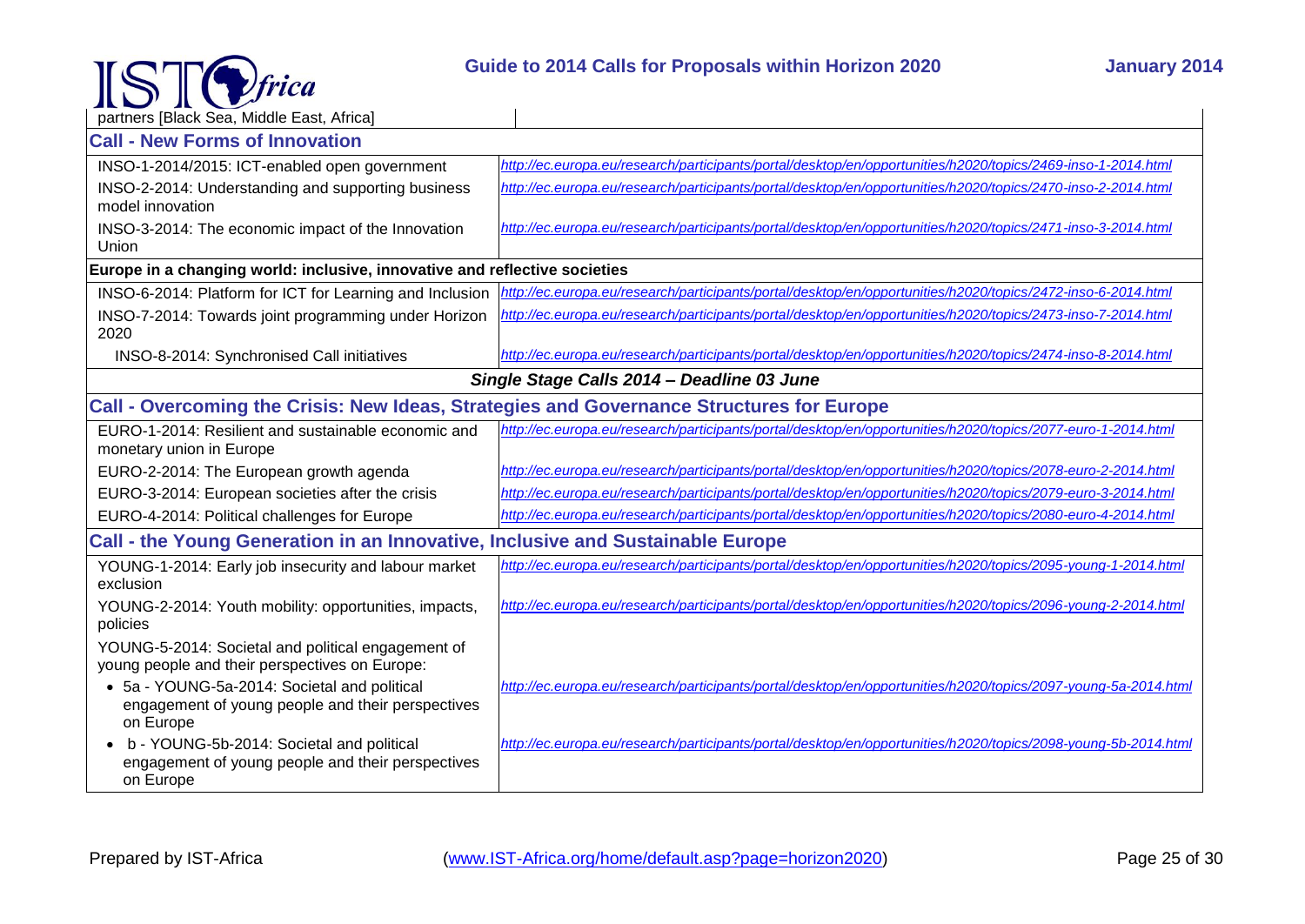

| partners [Black Sea, Middle East, Africa]                                                                      |                                                                                                                |
|----------------------------------------------------------------------------------------------------------------|----------------------------------------------------------------------------------------------------------------|
| <b>Call - New Forms of Innovation</b>                                                                          |                                                                                                                |
| INSO-1-2014/2015: ICT-enabled open government                                                                  | http://ec.europa.eu/research/participants/portal/desktop/en/opportunities/h2020/topics/2469-inso-1-2014.html   |
| INSO-2-2014: Understanding and supporting business                                                             | http://ec.europa.eu/research/participants/portal/desktop/en/opportunities/h2020/topics/2470-inso-2-2014.html   |
| model innovation                                                                                               |                                                                                                                |
| INSO-3-2014: The economic impact of the Innovation<br>Union                                                    | http://ec.europa.eu/research/participants/portal/desktop/en/opportunities/h2020/topics/2471-inso-3-2014.html   |
| Europe in a changing world: inclusive, innovative and reflective societies                                     |                                                                                                                |
| INSO-6-2014: Platform for ICT for Learning and Inclusion                                                       | http://ec.europa.eu/research/participants/portal/desktop/en/opportunities/h2020/topics/2472-inso-6-2014.html   |
| INSO-7-2014: Towards joint programming under Horizon<br>2020                                                   | http://ec.europa.eu/research/participants/portal/desktop/en/opportunities/h2020/topics/2473-inso-7-2014.html   |
| INSO-8-2014: Synchronised Call initiatives                                                                     | http://ec.europa.eu/research/participants/portal/desktop/en/opportunities/h2020/topics/2474-inso-8-2014.html   |
|                                                                                                                | Single Stage Calls 2014 - Deadline 03 June                                                                     |
| Call - Overcoming the Crisis: New Ideas, Strategies and Governance Structures for Europe                       |                                                                                                                |
| EURO-1-2014: Resilient and sustainable economic and                                                            | http://ec.europa.eu/research/participants/portal/desktop/en/opportunities/h2020/topics/2077-euro-1-2014.html   |
| monetary union in Europe                                                                                       |                                                                                                                |
| EURO-2-2014: The European growth agenda                                                                        | http://ec.europa.eu/research/participants/portal/desktop/en/opportunities/h2020/topics/2078-euro-2-2014.html   |
| EURO-3-2014: European societies after the crisis                                                               | http://ec.europa.eu/research/participants/portal/desktop/en/opportunities/h2020/topics/2079-euro-3-2014.html   |
| EURO-4-2014: Political challenges for Europe                                                                   | http://ec.europa.eu/research/participants/portal/desktop/en/opportunities/h2020/topics/2080-euro-4-2014.html   |
| Call - the Young Generation in an Innovative, Inclusive and Sustainable Europe                                 |                                                                                                                |
| YOUNG-1-2014: Early job insecurity and labour market<br>exclusion                                              | http://ec.europa.eu/research/participants/portal/desktop/en/opportunities/h2020/topics/2095-young-1-2014.html  |
| YOUNG-2-2014: Youth mobility: opportunities, impacts,<br>policies                                              | http://ec.europa.eu/research/participants/portal/desktop/en/opportunities/h2020/topics/2096-young-2-2014.html  |
| YOUNG-5-2014: Societal and political engagement of                                                             |                                                                                                                |
| young people and their perspectives on Europe:                                                                 | http://ec.europa.eu/research/participants/portal/desktop/en/opportunities/h2020/topics/2097-young-5a-2014.html |
| • 5a - YOUNG-5a-2014: Societal and political<br>engagement of young people and their perspectives<br>on Europe |                                                                                                                |
| b - YOUNG-5b-2014: Societal and political<br>engagement of young people and their perspectives<br>on Europe    | http://ec.europa.eu/research/participants/portal/desktop/en/opportunities/h2020/topics/2098-young-5b-2014.html |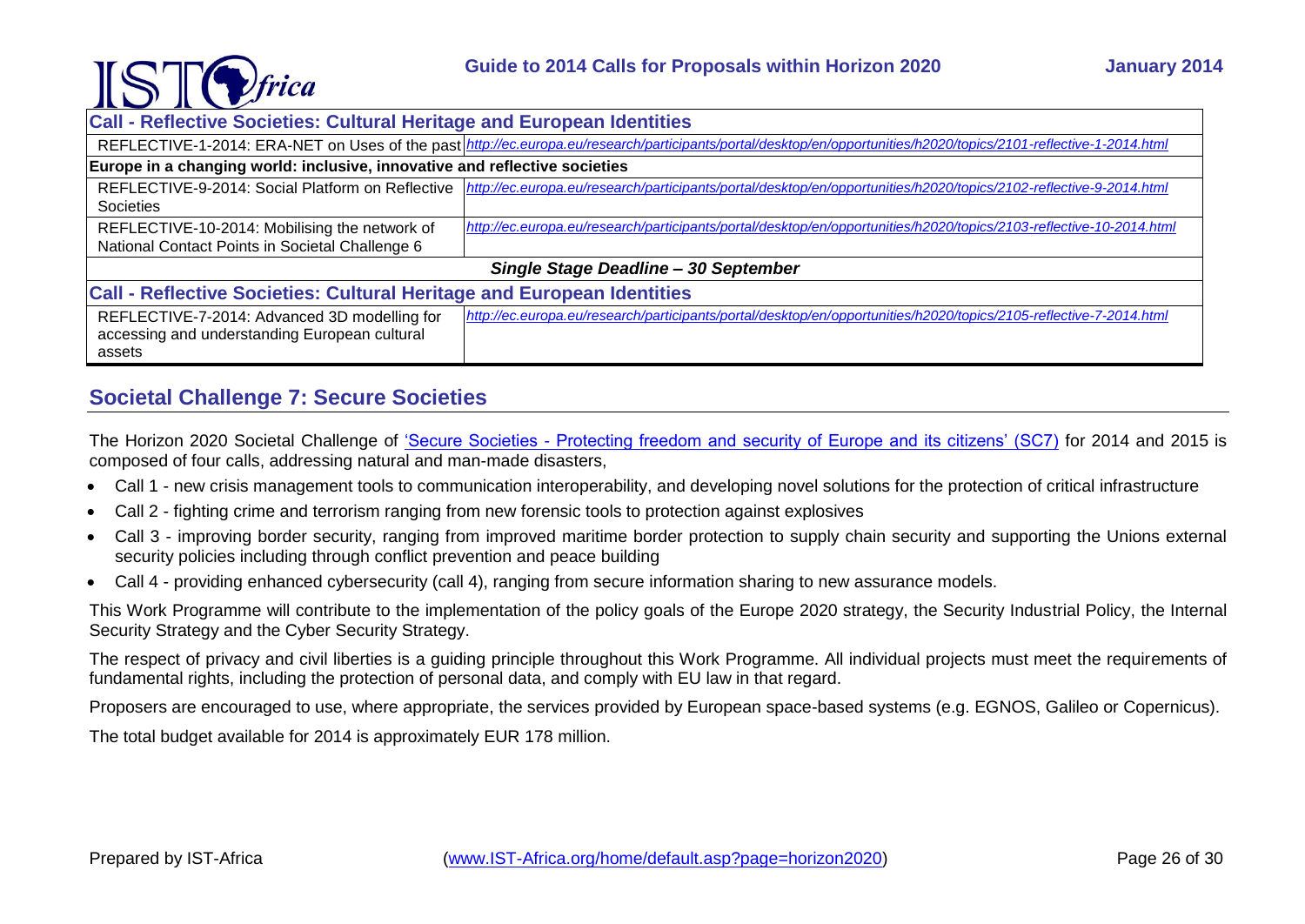

| <b>Call - Reflective Societies: Cultural Heritage and European Identities</b>                           |                                                                                                                                                                      |  |
|---------------------------------------------------------------------------------------------------------|----------------------------------------------------------------------------------------------------------------------------------------------------------------------|--|
|                                                                                                         | REFLECTIVE-1-2014: ERA-NET on Uses of the past http://ec.europa.eu/research/participants/portal/desktop/en/opportunities/h2020/topics/2101-reflective-1-2014.html    |  |
| Europe in a changing world: inclusive, innovative and reflective societies                              |                                                                                                                                                                      |  |
| Societies                                                                                               | REFLECTIVE-9-2014: Social Platform on Reflective  http://ec.europa.eu/research/participants/portal/desktop/en/opportunities/h2020/topics/2102-reflective-9-2014.html |  |
| REFLECTIVE-10-2014: Mobilising the network of<br>National Contact Points in Societal Challenge 6        | http://ec.europa.eu/research/participants/portal/desktop/en/opportunities/h2020/topics/2103-reflective-10-2014.html                                                  |  |
| Single Stage Deadline - 30 September                                                                    |                                                                                                                                                                      |  |
| <b>Call - Reflective Societies: Cultural Heritage and European Identities</b>                           |                                                                                                                                                                      |  |
| REFLECTIVE-7-2014: Advanced 3D modelling for<br>accessing and understanding European cultural<br>assets | http://ec.europa.eu/research/participants/portal/desktop/en/opportunities/h2020/topics/2105-reflective-7-2014.html                                                   |  |

## <span id="page-25-0"></span>**Societal Challenge 7: Secure Societies**

The Horizon 2020 Societal Challenge of 'Secure Societies - [Protecting freedom and security of Europe and its citizens' \(SC7\)](http://ec.europa.eu/programmes/horizon2020/en/h2020-section/secure-societies-%E2%80%93-protecting-freedom-and-security-europe-and-its-citizens) for 2014 and 2015 is composed of four calls, addressing natural and man-made disasters,

- Call 1 new crisis management tools to communication interoperability, and developing novel solutions for the protection of critical infrastructure
- Call 2 fighting crime and terrorism ranging from new forensic tools to protection against explosives
- Call 3 improving border security, ranging from improved maritime border protection to supply chain security and supporting the Unions external security policies including through conflict prevention and peace building
- Call 4 providing enhanced cybersecurity (call 4), ranging from secure information sharing to new assurance models.

This Work Programme will contribute to the implementation of the policy goals of the Europe 2020 strategy, the Security Industrial Policy, the Internal Security Strategy and the Cyber Security Strategy.

The respect of privacy and civil liberties is a guiding principle throughout this Work Programme. All individual projects must meet the requirements of fundamental rights, including the protection of personal data, and comply with EU law in that regard.

Proposers are encouraged to use, where appropriate, the services provided by European space-based systems (e.g. EGNOS, Galileo or Copernicus).

The total budget available for 2014 is approximately EUR 178 million.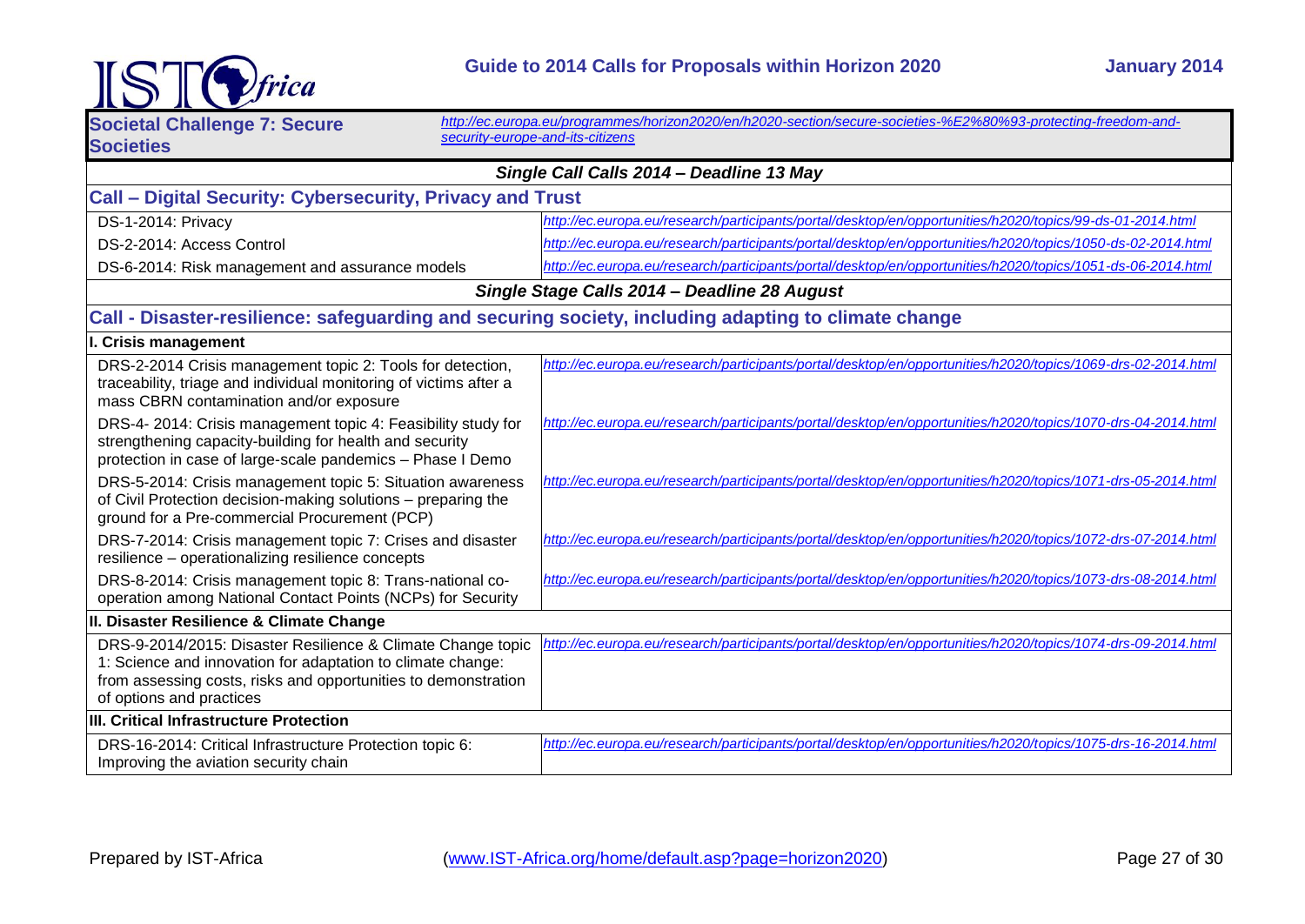

| <b>IST</b>                                                                                                                                                                                                               | Guide to 2014 Calls for Proposals within Horizon 2020<br><b>January 2014</b>                                                                       |
|--------------------------------------------------------------------------------------------------------------------------------------------------------------------------------------------------------------------------|----------------------------------------------------------------------------------------------------------------------------------------------------|
| <b>Societal Challenge 7: Secure</b><br><b>Societies</b>                                                                                                                                                                  | http://ec.europa.eu/programmes/horizon2020/en/h2020-section/secure-societies-%E2%80%93-protecting-freedom-and-<br>security-europe-and-its-citizens |
| Single Call Calls 2014 - Deadline 13 May                                                                                                                                                                                 |                                                                                                                                                    |
| Call - Digital Security: Cybersecurity, Privacy and Trust                                                                                                                                                                |                                                                                                                                                    |
| DS-1-2014: Privacy                                                                                                                                                                                                       | http://ec.europa.eu/research/participants/portal/desktop/en/opportunities/h2020/topics/99-ds-01-2014.html                                          |
| DS-2-2014: Access Control                                                                                                                                                                                                | http://ec.europa.eu/research/participants/portal/desktop/en/opportunities/h2020/topics/1050-ds-02-2014.html                                        |
| DS-6-2014: Risk management and assurance models                                                                                                                                                                          | http://ec.europa.eu/research/participants/portal/desktop/en/opportunities/h2020/topics/1051-ds-06-2014.html                                        |
| Single Stage Calls 2014 - Deadline 28 August                                                                                                                                                                             |                                                                                                                                                    |
| Call - Disaster-resilience: safeguarding and securing society, including adapting to climate change                                                                                                                      |                                                                                                                                                    |
| I. Crisis management                                                                                                                                                                                                     |                                                                                                                                                    |
| DRS-2-2014 Crisis management topic 2: Tools for detection,<br>traceability, triage and individual monitoring of victims after a<br>mass CBRN contamination and/or exposure                                               | http://ec.europa.eu/research/participants/portal/desktop/en/opportunities/h2020/topics/1069-drs-02-2014.html                                       |
| DRS-4- 2014: Crisis management topic 4: Feasibility study for<br>strengthening capacity-building for health and security<br>protection in case of large-scale pandemics - Phase I Demo                                   | http://ec.europa.eu/research/participants/portal/desktop/en/opportunities/h2020/topics/1070-drs-04-2014.html                                       |
| DRS-5-2014: Crisis management topic 5: Situation awareness<br>of Civil Protection decision-making solutions - preparing the<br>ground for a Pre-commercial Procurement (PCP)                                             | http://ec.europa.eu/research/participants/portal/desktop/en/opportunities/h2020/topics/1071-drs-05-2014.html                                       |
| DRS-7-2014: Crisis management topic 7: Crises and disaster<br>resilience - operationalizing resilience concepts                                                                                                          | http://ec.europa.eu/research/participants/portal/desktop/en/opportunities/h2020/topics/1072-drs-07-2014.html                                       |
| DRS-8-2014: Crisis management topic 8: Trans-national co-<br>operation among National Contact Points (NCPs) for Security                                                                                                 | http://ec.europa.eu/research/participants/portal/desktop/en/opportunities/h2020/topics/1073-drs-08-2014.html                                       |
| II. Disaster Resilience & Climate Change                                                                                                                                                                                 |                                                                                                                                                    |
| DRS-9-2014/2015: Disaster Resilience & Climate Change topic<br>1: Science and innovation for adaptation to climate change:<br>from assessing costs, risks and opportunities to demonstration<br>of options and practices | http://ec.europa.eu/research/participants/portal/desktop/en/opportunities/h2020/topics/1074-drs-09-2014.html                                       |
| III. Critical Infrastructure Protection                                                                                                                                                                                  |                                                                                                                                                    |
| DRS-16-2014: Critical Infrastructure Protection topic 6:<br>Improving the aviation security chain                                                                                                                        | http://ec.europa.eu/research/participants/portal/desktop/en/opportunities/h2020/topics/1075-drs-16-2014.html                                       |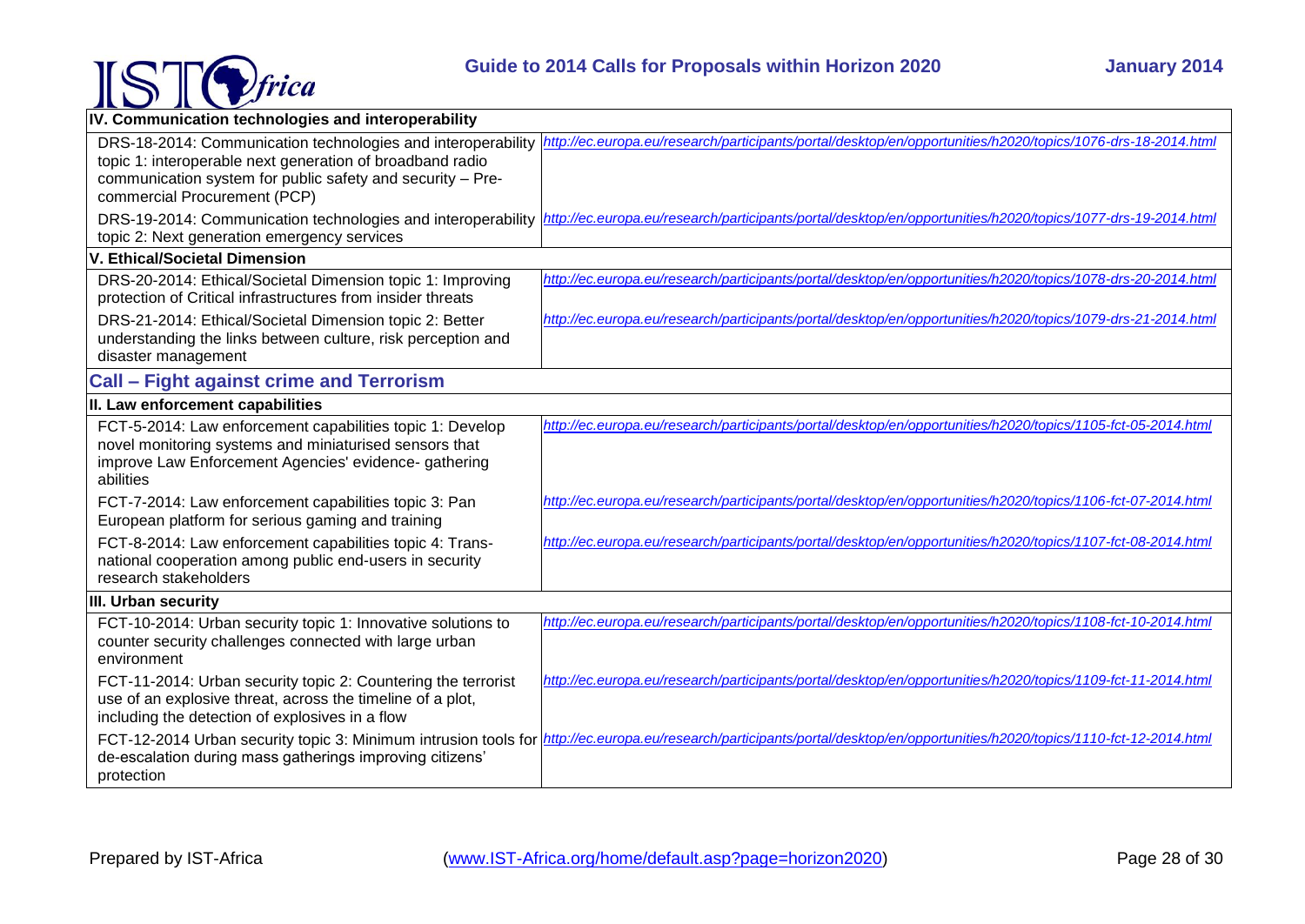

| IV. Communication technologies and interoperability                                                                                                                                                                     |                                                                                                                                                                                     |
|-------------------------------------------------------------------------------------------------------------------------------------------------------------------------------------------------------------------------|-------------------------------------------------------------------------------------------------------------------------------------------------------------------------------------|
| DRS-18-2014: Communication technologies and interoperability<br>topic 1: interoperable next generation of broadband radio<br>communication system for public safety and security - Pre-<br>commercial Procurement (PCP) | http://ec.europa.eu/research/participants/portal/desktop/en/opportunities/h2020/topics/1076-drs-18-2014.html                                                                        |
| DRS-19-2014: Communication technologies and interoperability<br>topic 2: Next generation emergency services                                                                                                             | http://ec.europa.eu/research/participants/portal/desktop/en/opportunities/h2020/topics/1077-drs-19-2014.html                                                                        |
| V. Ethical/Societal Dimension                                                                                                                                                                                           |                                                                                                                                                                                     |
| DRS-20-2014: Ethical/Societal Dimension topic 1: Improving<br>protection of Critical infrastructures from insider threats                                                                                               | http://ec.europa.eu/research/participants/portal/desktop/en/opportunities/h2020/topics/1078-drs-20-2014.html                                                                        |
| DRS-21-2014: Ethical/Societal Dimension topic 2: Better<br>understanding the links between culture, risk perception and<br>disaster management                                                                          | http://ec.europa.eu/research/participants/portal/desktop/en/opportunities/h2020/topics/1079-drs-21-2014.html                                                                        |
| <b>Call - Fight against crime and Terrorism</b>                                                                                                                                                                         |                                                                                                                                                                                     |
| II. Law enforcement capabilities                                                                                                                                                                                        |                                                                                                                                                                                     |
| FCT-5-2014: Law enforcement capabilities topic 1: Develop<br>novel monitoring systems and miniaturised sensors that<br>improve Law Enforcement Agencies' evidence- gathering<br>abilities                               | http://ec.europa.eu/research/participants/portal/desktop/en/opportunities/h2020/topics/1105-fct-05-2014.html                                                                        |
| FCT-7-2014: Law enforcement capabilities topic 3: Pan<br>European platform for serious gaming and training                                                                                                              | http://ec.europa.eu/research/participants/portal/desktop/en/opportunities/h2020/topics/1106-fct-07-2014.html                                                                        |
| FCT-8-2014: Law enforcement capabilities topic 4: Trans-<br>national cooperation among public end-users in security<br>research stakeholders                                                                            | http://ec.europa.eu/research/participants/portal/desktop/en/opportunities/h2020/topics/1107-fct-08-2014.html                                                                        |
| III. Urban security                                                                                                                                                                                                     |                                                                                                                                                                                     |
| FCT-10-2014: Urban security topic 1: Innovative solutions to<br>counter security challenges connected with large urban<br>environment                                                                                   | http://ec.europa.eu/research/participants/portal/desktop/en/opportunities/h2020/topics/1108-fct-10-2014.html                                                                        |
| FCT-11-2014: Urban security topic 2: Countering the terrorist<br>use of an explosive threat, across the timeline of a plot,<br>including the detection of explosives in a flow                                          | http://ec.europa.eu/research/participants/portal/desktop/en/opportunities/h2020/topics/1109-fct-11-2014.html                                                                        |
| de-escalation during mass gatherings improving citizens'<br>protection                                                                                                                                                  | FCT-12-2014 Urban security topic 3: Minimum intrusion tools for <i>http://ec.europa.eu/research/participants/portal/desktop/en/opportunities/h2020/topics/1110-fct-12-2014.html</i> |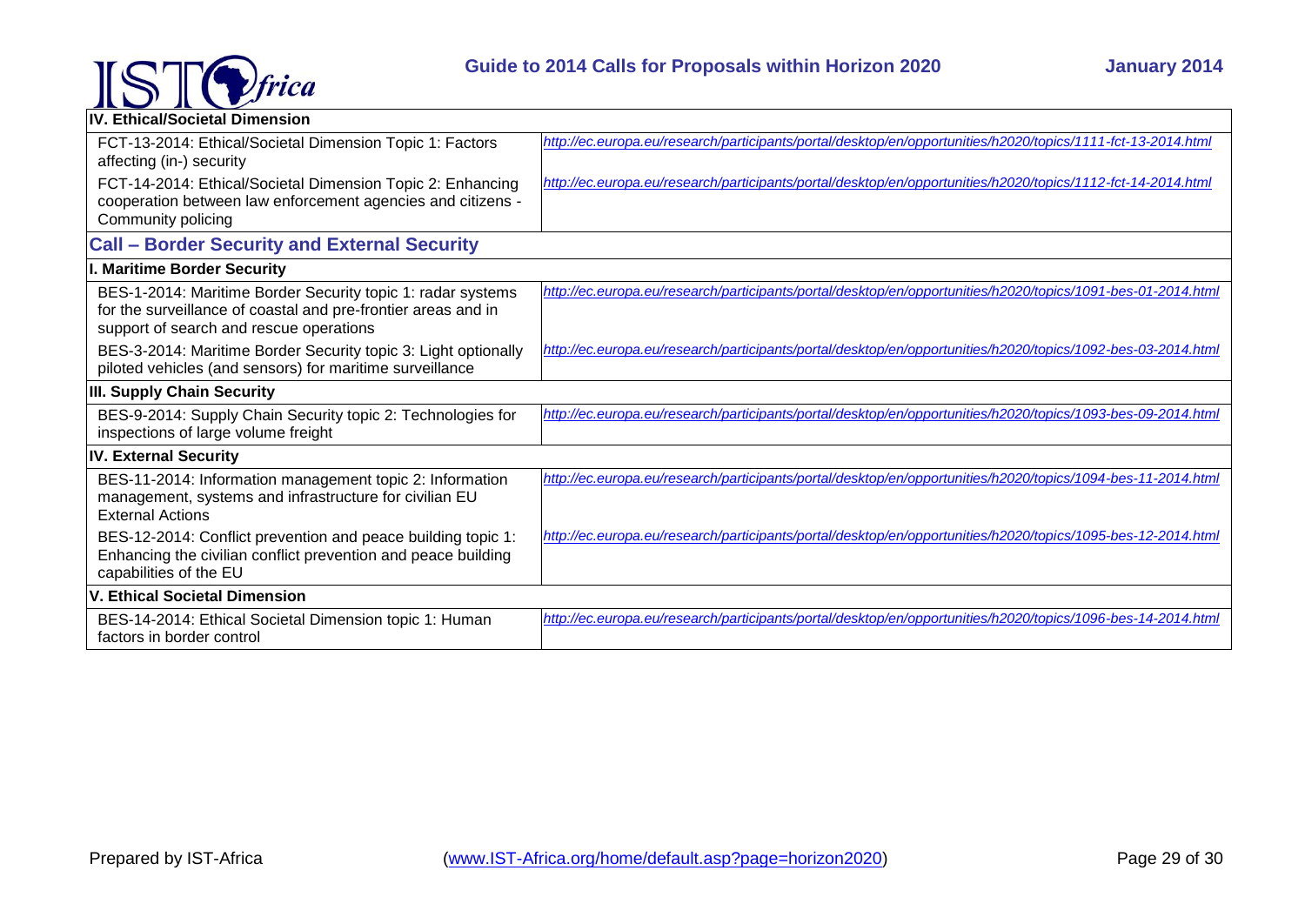

| IV. Ethical/Societal Dimension                                                                                                                                          |                                                                                                              |
|-------------------------------------------------------------------------------------------------------------------------------------------------------------------------|--------------------------------------------------------------------------------------------------------------|
| FCT-13-2014: Ethical/Societal Dimension Topic 1: Factors<br>affecting (in-) security                                                                                    | http://ec.europa.eu/research/participants/portal/desktop/en/opportunities/h2020/topics/1111-fct-13-2014.html |
| FCT-14-2014: Ethical/Societal Dimension Topic 2: Enhancing<br>cooperation between law enforcement agencies and citizens -<br>Community policing                         | http://ec.europa.eu/research/participants/portal/desktop/en/opportunities/h2020/topics/1112-fct-14-2014.html |
| <b>Call - Border Security and External Security</b>                                                                                                                     |                                                                                                              |
| . Maritime Border Security                                                                                                                                              |                                                                                                              |
| BES-1-2014: Maritime Border Security topic 1: radar systems<br>for the surveillance of coastal and pre-frontier areas and in<br>support of search and rescue operations | http://ec.europa.eu/research/participants/portal/desktop/en/opportunities/h2020/topics/1091-bes-01-2014.html |
| BES-3-2014: Maritime Border Security topic 3: Light optionally<br>piloted vehicles (and sensors) for maritime surveillance                                              | http://ec.europa.eu/research/participants/portal/desktop/en/opportunities/h2020/topics/1092-bes-03-2014.html |
| III. Supply Chain Security                                                                                                                                              |                                                                                                              |
| BES-9-2014: Supply Chain Security topic 2: Technologies for<br>inspections of large volume freight                                                                      | http://ec.europa.eu/research/participants/portal/desktop/en/opportunities/h2020/topics/1093-bes-09-2014.html |
| <b>IV. External Security</b>                                                                                                                                            |                                                                                                              |
| BES-11-2014: Information management topic 2: Information<br>management, systems and infrastructure for civilian EU<br><b>External Actions</b>                           | http://ec.europa.eu/research/participants/portal/desktop/en/opportunities/h2020/topics/1094-bes-11-2014.html |
| BES-12-2014: Conflict prevention and peace building topic 1:<br>Enhancing the civilian conflict prevention and peace building<br>capabilities of the EU                 | http://ec.europa.eu/research/participants/portal/desktop/en/opportunities/h2020/topics/1095-bes-12-2014.html |
| V. Ethical Societal Dimension                                                                                                                                           |                                                                                                              |
| BES-14-2014: Ethical Societal Dimension topic 1: Human<br>factors in border control                                                                                     | http://ec.europa.eu/research/participants/portal/desktop/en/opportunities/h2020/topics/1096-bes-14-2014.html |